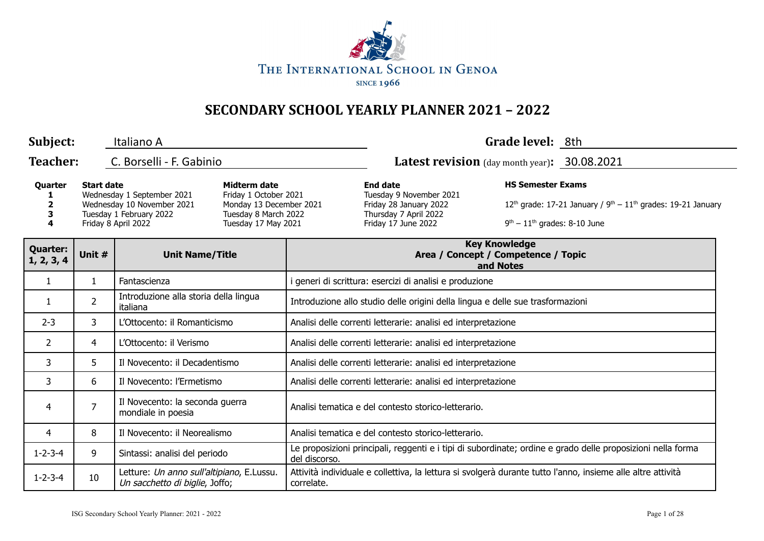

| Subject:                                                                                                                                                                                                                                                 |                                  | Italiano A                                                                  |                                                                                                                      |                                                                                                                                         | Grade level: 8th                                                                                            |  |  |  |
|----------------------------------------------------------------------------------------------------------------------------------------------------------------------------------------------------------------------------------------------------------|----------------------------------|-----------------------------------------------------------------------------|----------------------------------------------------------------------------------------------------------------------|-----------------------------------------------------------------------------------------------------------------------------------------|-------------------------------------------------------------------------------------------------------------|--|--|--|
| <b>Teacher:</b>                                                                                                                                                                                                                                          |                                  | C. Borselli - F. Gabinio                                                    |                                                                                                                      | Latest revision (day month year): 30.08.2021                                                                                            |                                                                                                             |  |  |  |
| <b>Start date</b><br><b>Midterm date</b><br>Quarter<br>Wednesday 1 September 2021<br>Friday 1 October 2021<br>Wednesday 10 November 2021<br>2<br>3<br>Tuesday 1 February 2022<br>Tuesday 8 March 2022<br>4<br>Friday 8 April 2022<br>Tuesday 17 May 2021 |                                  | Monday 13 December 2021                                                     | <b>End date</b><br>Tuesday 9 November 2021<br>Friday 28 January 2022<br>Thursday 7 April 2022<br>Friday 17 June 2022 | <b>HS Semester Exams</b><br>$12^{th}$ grade: 17-21 January / $9^{th} - 11^{th}$ grades: 19-21 January<br>$9th - 11th$ grades: 8-10 June |                                                                                                             |  |  |  |
| <b>Quarter:</b><br>1, 2, 3, 4                                                                                                                                                                                                                            | Unit #<br><b>Unit Name/Title</b> |                                                                             |                                                                                                                      |                                                                                                                                         | <b>Key Knowledge</b><br>Area / Concept / Competence / Topic<br>and Notes                                    |  |  |  |
| $\mathbf{1}$                                                                                                                                                                                                                                             | $\mathbf{1}$                     | Fantascienza                                                                |                                                                                                                      | i generi di scrittura: esercizi di analisi e produzione                                                                                 |                                                                                                             |  |  |  |
| 1                                                                                                                                                                                                                                                        | $\overline{2}$                   | Introduzione alla storia della lingua<br>italiana                           |                                                                                                                      | Introduzione allo studio delle origini della lingua e delle sue trasformazioni                                                          |                                                                                                             |  |  |  |
| $2 - 3$                                                                                                                                                                                                                                                  | 3                                | L'Ottocento: il Romanticismo                                                |                                                                                                                      | Analisi delle correnti letterarie: analisi ed interpretazione                                                                           |                                                                                                             |  |  |  |
| $\overline{2}$                                                                                                                                                                                                                                           | 4                                | L'Ottocento: il Verismo                                                     |                                                                                                                      | Analisi delle correnti letterarie: analisi ed interpretazione                                                                           |                                                                                                             |  |  |  |
| 3                                                                                                                                                                                                                                                        | 5                                | Il Novecento: il Decadentismo                                               |                                                                                                                      | Analisi delle correnti letterarie: analisi ed interpretazione                                                                           |                                                                                                             |  |  |  |
| 3                                                                                                                                                                                                                                                        | 6                                | Il Novecento: l'Ermetismo                                                   |                                                                                                                      | Analisi delle correnti letterarie: analisi ed interpretazione                                                                           |                                                                                                             |  |  |  |
| 4                                                                                                                                                                                                                                                        | 7                                | Il Novecento: la seconda guerra<br>mondiale in poesia                       |                                                                                                                      | Analisi tematica e del contesto storico-letterario.                                                                                     |                                                                                                             |  |  |  |
| 4                                                                                                                                                                                                                                                        | 8                                | Il Novecento: il Neorealismo                                                |                                                                                                                      | Analisi tematica e del contesto storico-letterario.                                                                                     |                                                                                                             |  |  |  |
| $1 - 2 - 3 - 4$                                                                                                                                                                                                                                          | 9                                | Sintassi: analisi del periodo                                               |                                                                                                                      | Le proposizioni principali, reggenti e i tipi di subordinate; ordine e grado delle proposizioni nella forma<br>del discorso.            |                                                                                                             |  |  |  |
| $1 - 2 - 3 - 4$                                                                                                                                                                                                                                          | 10                               | Letture: Un anno sull'altipiano, E.Lussu.<br>Un sacchetto di biglie, Joffo; | correlate.                                                                                                           |                                                                                                                                         | Attività individuale e collettiva, la lettura si svolgerà durante tutto l'anno, insieme alle altre attività |  |  |  |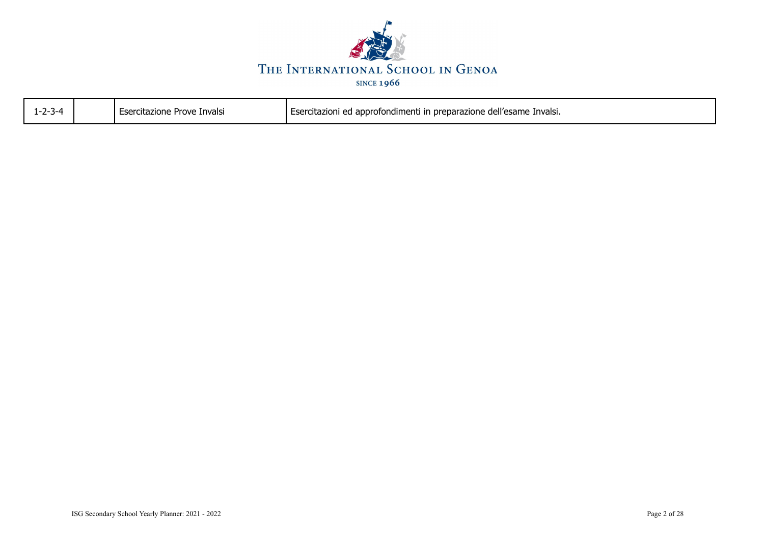

| $1 - 2 - 3 - 4$ | l Esercitazione Prove Invalsi | Esercitazioni ed approfondimenti in preparazione dell'esame Invalsi. |
|-----------------|-------------------------------|----------------------------------------------------------------------|
|                 |                               |                                                                      |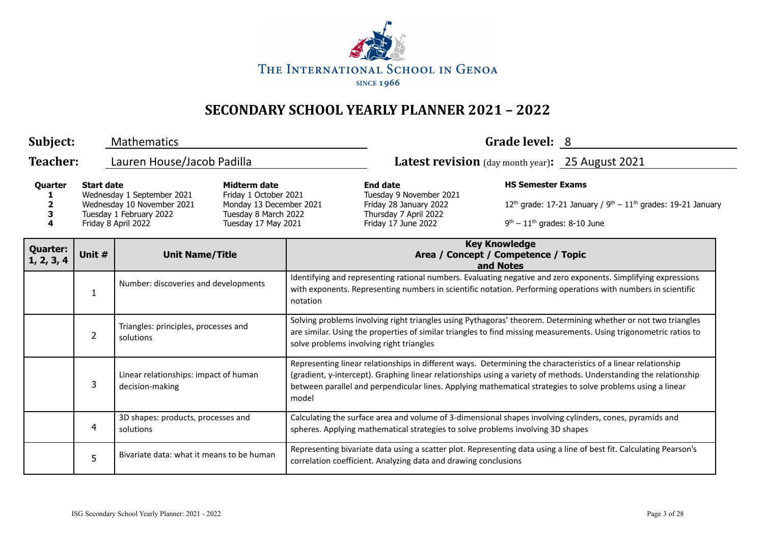

| Subject:                      |                                                                                                                                                                                                                                                    | <b>Mathematics</b>                                       |  |                                                                                                                                                                                                                                                                                                                                                            |                                                                          | Grade level: 8                                                                     |  |  |  |
|-------------------------------|----------------------------------------------------------------------------------------------------------------------------------------------------------------------------------------------------------------------------------------------------|----------------------------------------------------------|--|------------------------------------------------------------------------------------------------------------------------------------------------------------------------------------------------------------------------------------------------------------------------------------------------------------------------------------------------------------|--------------------------------------------------------------------------|------------------------------------------------------------------------------------|--|--|--|
| <b>Teacher:</b>               |                                                                                                                                                                                                                                                    | Lauren House/Jacob Padilla                               |  |                                                                                                                                                                                                                                                                                                                                                            | <b>Latest revision</b> (day month year): 25 August 2021                  |                                                                                    |  |  |  |
| Quarter<br>З<br>4             | Midterm date<br><b>Start date</b><br>Wednesday 1 September 2021<br>Friday 1 October 2021<br>Wednesday 10 November 2021<br>Monday 13 December 2021<br>Tuesday 1 February 2022<br>Tuesday 8 March 2022<br>Friday 8 April 2022<br>Tuesday 17 May 2021 |                                                          |  | <b>HS Semester Exams</b><br><b>End date</b><br>Tuesday 9 November 2021<br>Friday 28 January 2022<br>Thursday 7 April 2022<br>$9th - 11th$ grades: 8-10 June<br>Friday 17 June 2022                                                                                                                                                                         |                                                                          | $12^{th}$ grade: 17-21 January / 9 <sup>th</sup> – $11^{th}$ grades: 19-21 January |  |  |  |
| <b>Quarter:</b><br>1, 2, 3, 4 | Unit #                                                                                                                                                                                                                                             | <b>Unit Name/Title</b>                                   |  |                                                                                                                                                                                                                                                                                                                                                            | <b>Key Knowledge</b><br>Area / Concept / Competence / Topic<br>and Notes |                                                                                    |  |  |  |
|                               | 1                                                                                                                                                                                                                                                  | Number: discoveries and developments                     |  | Identifying and representing rational numbers. Evaluating negative and zero exponents. Simplifying expressions<br>with exponents. Representing numbers in scientific notation. Performing operations with numbers in scientific<br>notation                                                                                                                |                                                                          |                                                                                    |  |  |  |
|                               | $\overline{2}$                                                                                                                                                                                                                                     | Triangles: principles, processes and<br>solutions        |  | Solving problems involving right triangles using Pythagoras' theorem. Determining whether or not two triangles<br>are similar. Using the properties of similar triangles to find missing measurements. Using trigonometric ratios to<br>solve problems involving right triangles                                                                           |                                                                          |                                                                                    |  |  |  |
|                               | 3                                                                                                                                                                                                                                                  | Linear relationships: impact of human<br>decision-making |  | Representing linear relationships in different ways. Determining the characteristics of a linear relationship<br>(gradient, y-intercept). Graphing linear relationships using a variety of methods. Understanding the relationship<br>between parallel and perpendicular lines. Applying mathematical strategies to solve problems using a linear<br>model |                                                                          |                                                                                    |  |  |  |
|                               | 4                                                                                                                                                                                                                                                  | 3D shapes: products, processes and<br>solutions          |  | Calculating the surface area and volume of 3-dimensional shapes involving cylinders, cones, pyramids and<br>spheres. Applying mathematical strategies to solve problems involving 3D shapes                                                                                                                                                                |                                                                          |                                                                                    |  |  |  |
|                               | 5                                                                                                                                                                                                                                                  | Bivariate data: what it means to be human                |  | Representing bivariate data using a scatter plot. Representing data using a line of best fit. Calculating Pearson's<br>correlation coefficient. Analyzing data and drawing conclusions                                                                                                                                                                     |                                                                          |                                                                                    |  |  |  |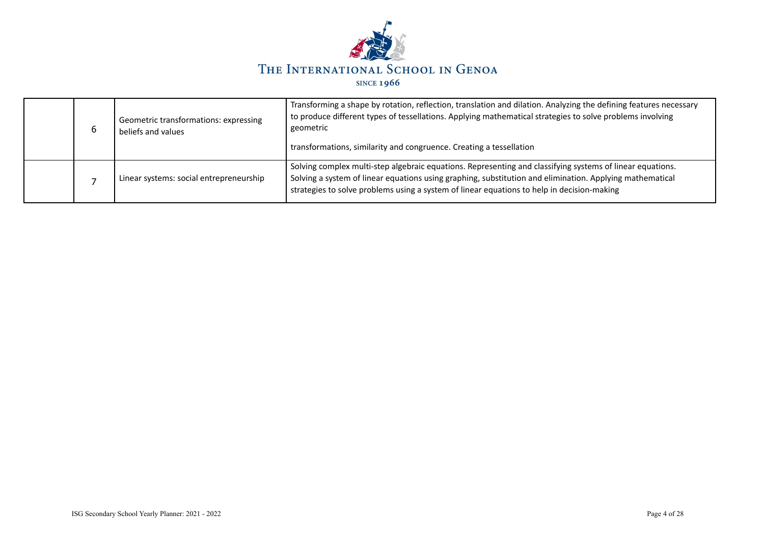

| b | Geometric transformations: expressing<br>beliefs and values | Transforming a shape by rotation, reflection, translation and dilation. Analyzing the defining features necessary<br>to produce different types of tessellations. Applying mathematical strategies to solve problems involving<br>geometric<br>transformations, similarity and congruence. Creating a tessellation  |
|---|-------------------------------------------------------------|---------------------------------------------------------------------------------------------------------------------------------------------------------------------------------------------------------------------------------------------------------------------------------------------------------------------|
|   | Linear systems: social entrepreneurship                     | Solving complex multi-step algebraic equations. Representing and classifying systems of linear equations.<br>Solving a system of linear equations using graphing, substitution and elimination. Applying mathematical<br>strategies to solve problems using a system of linear equations to help in decision-making |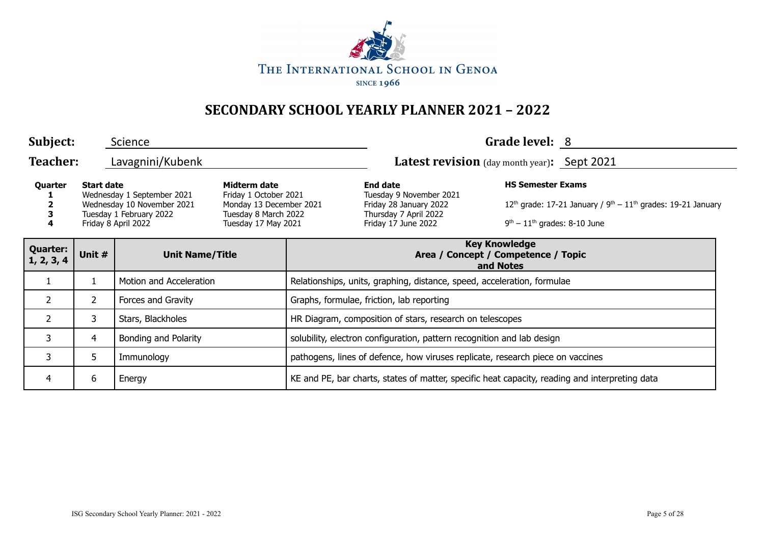

| Subject:                      |                   | Science                                                                                                    |                                                                                                                 |                                                                                                |                                                                                                                      | Grade level: 8                                                                                                                 |  |  |
|-------------------------------|-------------------|------------------------------------------------------------------------------------------------------------|-----------------------------------------------------------------------------------------------------------------|------------------------------------------------------------------------------------------------|----------------------------------------------------------------------------------------------------------------------|--------------------------------------------------------------------------------------------------------------------------------|--|--|
| <b>Teacher:</b>               |                   | Lavagnini/Kubenk                                                                                           |                                                                                                                 |                                                                                                | Latest revision (day month year): Sept 2021                                                                          |                                                                                                                                |  |  |
| Quarter<br>4                  | <b>Start date</b> | Wednesday 1 September 2021<br>Wednesday 10 November 2021<br>Tuesday 1 February 2022<br>Friday 8 April 2022 | Midterm date<br>Friday 1 October 2021<br>Monday 13 December 2021<br>Tuesday 8 March 2022<br>Tuesday 17 May 2021 |                                                                                                | <b>End date</b><br>Tuesday 9 November 2021<br>Friday 28 January 2022<br>Thursday 7 April 2022<br>Friday 17 June 2022 | <b>HS Semester Exams</b><br>$12th$ grade: 17-21 January / $9th - 11th$ grades: 19-21 January<br>$9th - 11th$ grades: 8-10 June |  |  |
| <b>Quarter:</b><br>1, 2, 3, 4 | Unit #            | <b>Unit Name/Title</b>                                                                                     |                                                                                                                 |                                                                                                | <b>Key Knowledge</b><br>Area / Concept / Competence / Topic<br>and Notes                                             |                                                                                                                                |  |  |
|                               |                   | Motion and Acceleration                                                                                    |                                                                                                                 | Relationships, units, graphing, distance, speed, acceleration, formulae                        |                                                                                                                      |                                                                                                                                |  |  |
| $\overline{2}$                | $\overline{2}$    | Forces and Gravity                                                                                         |                                                                                                                 | Graphs, formulae, friction, lab reporting                                                      |                                                                                                                      |                                                                                                                                |  |  |
| $\overline{2}$                | 3                 | Stars, Blackholes                                                                                          |                                                                                                                 | HR Diagram, composition of stars, research on telescopes                                       |                                                                                                                      |                                                                                                                                |  |  |
| 3                             | 4                 | Bonding and Polarity                                                                                       |                                                                                                                 | solubility, electron configuration, pattern recognition and lab design                         |                                                                                                                      |                                                                                                                                |  |  |
| 3                             | 5.                | Immunology                                                                                                 |                                                                                                                 | pathogens, lines of defence, how viruses replicate, research piece on vaccines                 |                                                                                                                      |                                                                                                                                |  |  |
| 4                             | 6<br>Energy       |                                                                                                            |                                                                                                                 | KE and PE, bar charts, states of matter, specific heat capacity, reading and interpreting data |                                                                                                                      |                                                                                                                                |  |  |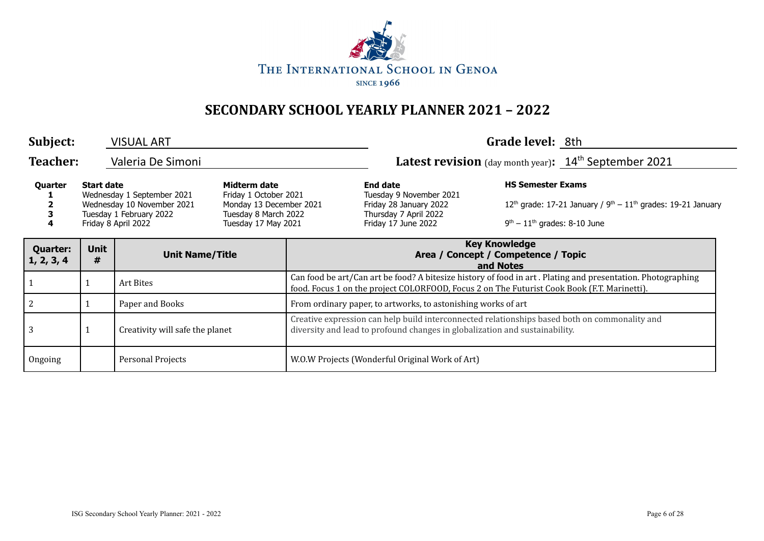

| Subject:                      |                                 | <b>VISUAL ART</b>                                                                                          |                                                                                                                 |                                                                                                                                                                                                            |                                                                | Grade level: 8th                                           |                                                                  |  |
|-------------------------------|---------------------------------|------------------------------------------------------------------------------------------------------------|-----------------------------------------------------------------------------------------------------------------|------------------------------------------------------------------------------------------------------------------------------------------------------------------------------------------------------------|----------------------------------------------------------------|------------------------------------------------------------|------------------------------------------------------------------|--|
| <b>Teacher:</b>               | Valeria De Simoni               |                                                                                                            |                                                                                                                 |                                                                                                                                                                                                            | <b>Latest revision</b> (day month year): $14th$ September 2021 |                                                            |                                                                  |  |
| Quarter                       | <b>Start date</b>               | Wednesday 1 September 2021<br>Wednesday 10 November 2021<br>Tuesday 1 February 2022<br>Friday 8 April 2022 | Midterm date<br>Friday 1 October 2021<br>Monday 13 December 2021<br>Tuesday 8 March 2022<br>Tuesday 17 May 2021 | <b>End date</b><br>Tuesday 9 November 2021<br>Friday 28 January 2022<br>Thursday 7 April 2022<br>Friday 17 June 2022                                                                                       |                                                                | <b>HS Semester Exams</b><br>$9th - 11th$ grades: 8-10 June | $12th$ grade: 17-21 January / $9th - 11th$ grades: 19-21 January |  |
| <b>Quarter:</b><br>1, 2, 3, 4 | <b>Unit</b><br>#                | <b>Unit Name/Title</b>                                                                                     |                                                                                                                 | <b>Key Knowledge</b><br>Area / Concept / Competence / Topic<br>and Notes                                                                                                                                   |                                                                |                                                            |                                                                  |  |
| 1                             |                                 | Art Bites                                                                                                  |                                                                                                                 | Can food be art/Can art be food? A bitesize history of food in art. Plating and presentation. Photographing<br>food. Focus 1 on the project COLORFOOD, Focus 2 on The Futurist Cook Book (F.T. Marinetti). |                                                                |                                                            |                                                                  |  |
| $\overline{2}$                |                                 | Paper and Books                                                                                            |                                                                                                                 | From ordinary paper, to artworks, to astonishing works of art                                                                                                                                              |                                                                |                                                            |                                                                  |  |
| $\overline{3}$                | Creativity will safe the planet |                                                                                                            |                                                                                                                 | Creative expression can help build interconnected relationships based both on commonality and<br>diversity and lead to profound changes in globalization and sustainability.                               |                                                                |                                                            |                                                                  |  |
| Ongoing                       |                                 | Personal Projects                                                                                          |                                                                                                                 | W.O.W Projects (Wonderful Original Work of Art)                                                                                                                                                            |                                                                |                                                            |                                                                  |  |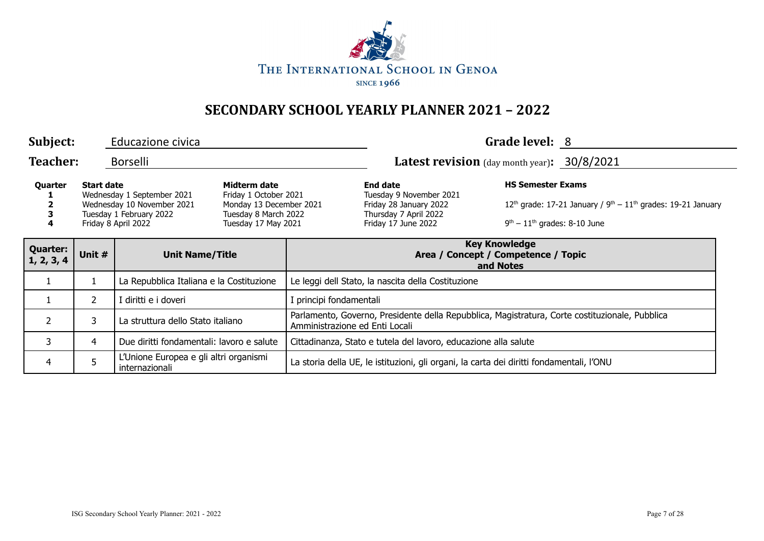

| Subject:                      |                                                               | Educazione civica                                                                                          |                                                                                                                 |                                                                                                                                  |                                                                                                                      | Grade level: 8                                             |                                                                  |
|-------------------------------|---------------------------------------------------------------|------------------------------------------------------------------------------------------------------------|-----------------------------------------------------------------------------------------------------------------|----------------------------------------------------------------------------------------------------------------------------------|----------------------------------------------------------------------------------------------------------------------|------------------------------------------------------------|------------------------------------------------------------------|
| <b>Teacher:</b>               |                                                               | <b>Borselli</b>                                                                                            |                                                                                                                 |                                                                                                                                  | <b>Latest revision</b> (day month year): $30/8/2021$                                                                 |                                                            |                                                                  |
| Quarter<br>4                  | <b>Start date</b>                                             | Wednesday 1 September 2021<br>Wednesday 10 November 2021<br>Tuesday 1 February 2022<br>Friday 8 April 2022 | Midterm date<br>Friday 1 October 2021<br>Monday 13 December 2021<br>Tuesday 8 March 2022<br>Tuesday 17 May 2021 |                                                                                                                                  | <b>End date</b><br>Tuesday 9 November 2021<br>Friday 28 January 2022<br>Thursday 7 April 2022<br>Friday 17 June 2022 | <b>HS Semester Exams</b><br>$9th - 11th$ grades: 8-10 June | $12th$ grade: 17-21 January / $9th - 11th$ grades: 19-21 January |
| <b>Quarter:</b><br>1, 2, 3, 4 | Unit #                                                        | <b>Unit Name/Title</b>                                                                                     |                                                                                                                 | <b>Key Knowledge</b><br>Area / Concept / Competence / Topic<br>and Notes                                                         |                                                                                                                      |                                                            |                                                                  |
|                               |                                                               | La Repubblica Italiana e la Costituzione                                                                   |                                                                                                                 | Le leggi dell Stato, la nascita della Costituzione                                                                               |                                                                                                                      |                                                            |                                                                  |
|                               | $\mathbf{2}^{\prime}$                                         | I diritti e i doveri                                                                                       |                                                                                                                 | I principi fondamentali                                                                                                          |                                                                                                                      |                                                            |                                                                  |
| $\overline{2}$                | 3                                                             | La struttura dello Stato italiano                                                                          |                                                                                                                 | Parlamento, Governo, Presidente della Repubblica, Magistratura, Corte costituzionale, Pubblica<br>Amministrazione ed Enti Locali |                                                                                                                      |                                                            |                                                                  |
| 3                             | 4                                                             | Due diritti fondamentali: lavoro e salute                                                                  |                                                                                                                 | Cittadinanza, Stato e tutela del lavoro, educazione alla salute                                                                  |                                                                                                                      |                                                            |                                                                  |
| 4                             | L'Unione Europea e gli altri organismi<br>5<br>internazionali |                                                                                                            |                                                                                                                 | La storia della UE, le istituzioni, gli organi, la carta dei diritti fondamentali, l'ONU                                         |                                                                                                                      |                                                            |                                                                  |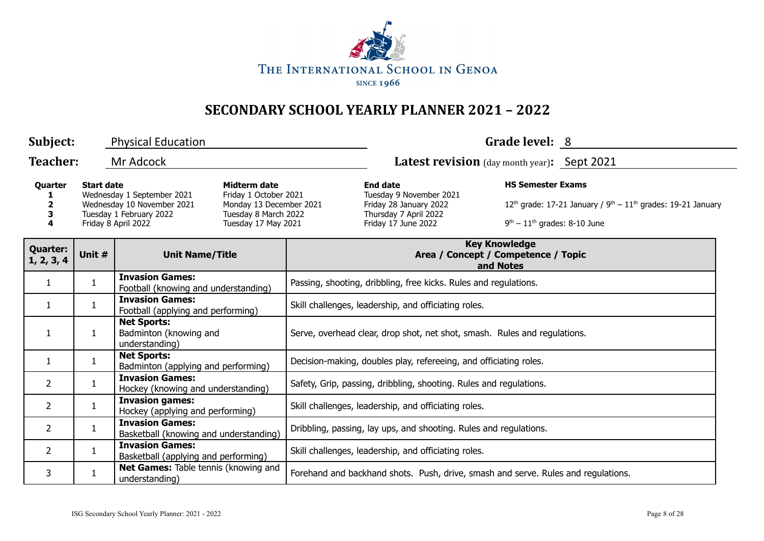

| Subject:<br>Grade level: 8<br><b>Physical Education</b>                                                                                                                                                                                                                      |                                  |                                                                  |                                                                                                                      |                                                                                   |                                                                                  |  |  |  |
|------------------------------------------------------------------------------------------------------------------------------------------------------------------------------------------------------------------------------------------------------------------------------|----------------------------------|------------------------------------------------------------------|----------------------------------------------------------------------------------------------------------------------|-----------------------------------------------------------------------------------|----------------------------------------------------------------------------------|--|--|--|
| <b>Teacher:</b>                                                                                                                                                                                                                                                              |                                  | Mr Adcock                                                        |                                                                                                                      |                                                                                   | <b>Latest revision</b> (day month year): Sept 2021                               |  |  |  |
| <b>Start date</b><br>Midterm date<br>Quarter<br>Friday 1 October 2021<br>Wednesday 1 September 2021<br>Wednesday 10 November 2021<br>2<br>Monday 13 December 2021<br>Tuesday 1 February 2022<br>3<br>Tuesday 8 March 2022<br>Friday 8 April 2022<br>Tuesday 17 May 2021<br>4 |                                  |                                                                  | <b>End date</b><br>Tuesday 9 November 2021<br>Friday 28 January 2022<br>Thursday 7 April 2022<br>Friday 17 June 2022 | <b>HS Semester Exams</b><br>$9th - 11th$ grades: 8-10 June                        | 12 <sup>th</sup> grade: 17-21 January / $9^{th} - 11^{th}$ grades: 19-21 January |  |  |  |
| <b>Quarter:</b><br>1, 2, 3, 4                                                                                                                                                                                                                                                | Unit #<br><b>Unit Name/Title</b> |                                                                  |                                                                                                                      | <b>Key Knowledge</b><br>Area / Concept / Competence / Topic<br>and Notes          |                                                                                  |  |  |  |
| $\mathbf{1}$                                                                                                                                                                                                                                                                 | $\mathbf{1}$                     | <b>Invasion Games:</b><br>Football (knowing and understanding)   |                                                                                                                      | Passing, shooting, dribbling, free kicks. Rules and regulations.                  |                                                                                  |  |  |  |
| $\mathbf{1}$                                                                                                                                                                                                                                                                 | $\mathbf{1}$                     | <b>Invasion Games:</b><br>Football (applying and performing)     |                                                                                                                      | Skill challenges, leadership, and officiating roles.                              |                                                                                  |  |  |  |
| 1                                                                                                                                                                                                                                                                            | $\mathbf{1}$                     | <b>Net Sports:</b><br>Badminton (knowing and<br>understanding)   |                                                                                                                      | Serve, overhead clear, drop shot, net shot, smash. Rules and regulations.         |                                                                                  |  |  |  |
| 1                                                                                                                                                                                                                                                                            | $\mathbf{1}$                     | <b>Net Sports:</b><br>Badminton (applying and performing)        |                                                                                                                      | Decision-making, doubles play, refereeing, and officiating roles.                 |                                                                                  |  |  |  |
| $\mathbf{2}$                                                                                                                                                                                                                                                                 | $\mathbf{1}$                     | <b>Invasion Games:</b><br>Hockey (knowing and understanding)     |                                                                                                                      | Safety, Grip, passing, dribbling, shooting. Rules and regulations.                |                                                                                  |  |  |  |
| $\overline{2}$                                                                                                                                                                                                                                                               | $\mathbf{1}$                     | <b>Invasion games:</b><br>Hockey (applying and performing)       |                                                                                                                      | Skill challenges, leadership, and officiating roles.                              |                                                                                  |  |  |  |
| $\overline{2}$                                                                                                                                                                                                                                                               | $\mathbf{1}$                     | <b>Invasion Games:</b><br>Basketball (knowing and understanding) |                                                                                                                      | Dribbling, passing, lay ups, and shooting. Rules and regulations.                 |                                                                                  |  |  |  |
| $\overline{2}$                                                                                                                                                                                                                                                               | $\mathbf{1}$                     | <b>Invasion Games:</b><br>Basketball (applying and performing)   |                                                                                                                      | Skill challenges, leadership, and officiating roles.                              |                                                                                  |  |  |  |
| 3                                                                                                                                                                                                                                                                            | 1                                | Net Games: Table tennis (knowing and<br>understanding)           |                                                                                                                      | Forehand and backhand shots. Push, drive, smash and serve. Rules and regulations. |                                                                                  |  |  |  |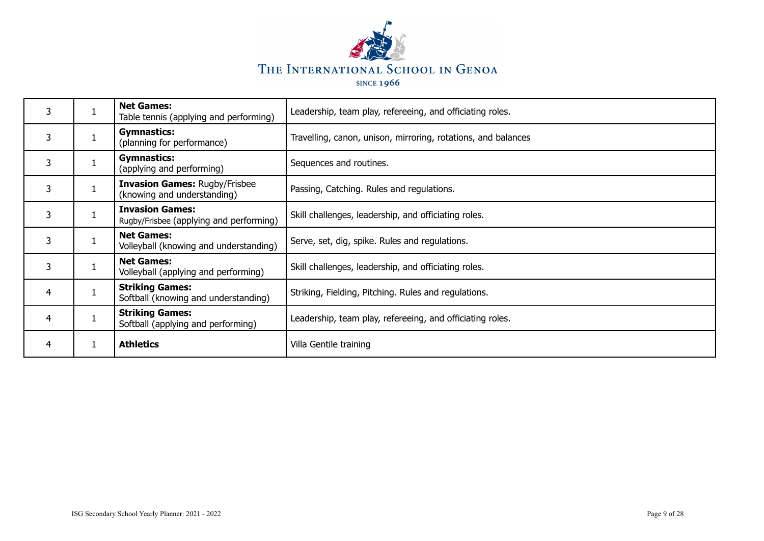

| 3 | <b>Net Games:</b><br>Table tennis (applying and performing)         | Leadership, team play, refereeing, and officiating roles.     |
|---|---------------------------------------------------------------------|---------------------------------------------------------------|
| 3 | <b>Gymnastics:</b><br>(planning for performance)                    | Travelling, canon, unison, mirroring, rotations, and balances |
| 3 | <b>Gymnastics:</b><br>(applying and performing)                     | Sequences and routines.                                       |
| 3 | <b>Invasion Games: Rugby/Frisbee</b><br>(knowing and understanding) | Passing, Catching. Rules and regulations.                     |
| 3 | <b>Invasion Games:</b><br>Rugby/Frisbee (applying and performing)   | Skill challenges, leadership, and officiating roles.          |
| 3 | <b>Net Games:</b><br>Volleyball (knowing and understanding)         | Serve, set, dig, spike. Rules and regulations.                |
| 3 | <b>Net Games:</b><br>Volleyball (applying and performing)           | Skill challenges, leadership, and officiating roles.          |
| 4 | <b>Striking Games:</b><br>Softball (knowing and understanding)      | Striking, Fielding, Pitching. Rules and regulations.          |
| 4 | <b>Striking Games:</b><br>Softball (applying and performing)        | Leadership, team play, refereeing, and officiating roles.     |
| 4 | <b>Athletics</b>                                                    | Villa Gentile training                                        |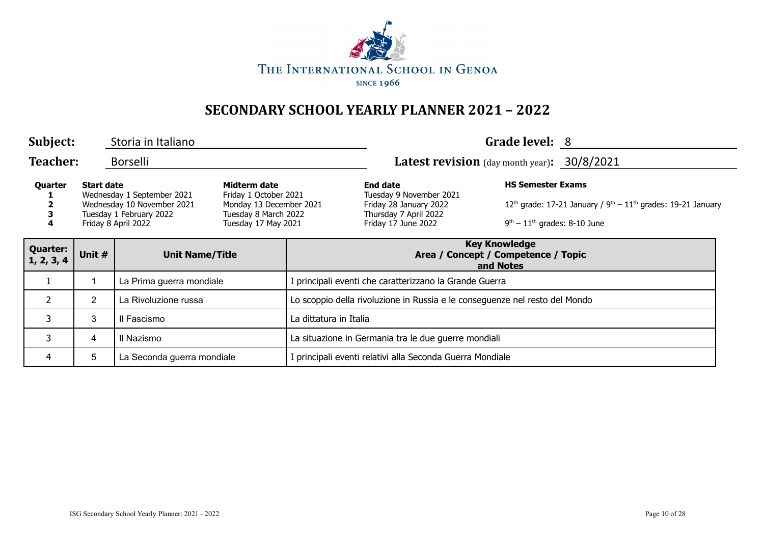

| Subject:                      |                                 | Storia in Italiano                                                                                         |                                                                                                                 |                                                                             |                                                                                                                      | Grade level: 8                                             |                                                                  |  |
|-------------------------------|---------------------------------|------------------------------------------------------------------------------------------------------------|-----------------------------------------------------------------------------------------------------------------|-----------------------------------------------------------------------------|----------------------------------------------------------------------------------------------------------------------|------------------------------------------------------------|------------------------------------------------------------------|--|
| <b>Teacher:</b>               |                                 | <b>Borselli</b>                                                                                            |                                                                                                                 |                                                                             | Latest revision (day month year): 30/8/2021                                                                          |                                                            |                                                                  |  |
| Quarter                       | <b>Start date</b>               | Wednesday 1 September 2021<br>Wednesday 10 November 2021<br>Tuesday 1 February 2022<br>Friday 8 April 2022 | Midterm date<br>Friday 1 October 2021<br>Monday 13 December 2021<br>Tuesday 8 March 2022<br>Tuesday 17 May 2021 |                                                                             | <b>End date</b><br>Tuesday 9 November 2021<br>Friday 28 January 2022<br>Thursday 7 April 2022<br>Friday 17 June 2022 | <b>HS Semester Exams</b><br>$9th - 11th$ grades: 8-10 June | $12th$ grade: 17-21 January / $9th - 11th$ grades: 19-21 January |  |
| <b>Quarter:</b><br>1, 2, 3, 4 | Unit #                          | <b>Unit Name/Title</b>                                                                                     |                                                                                                                 | <b>Key Knowledge</b><br>Area / Concept / Competence / Topic<br>and Notes    |                                                                                                                      |                                                            |                                                                  |  |
|                               |                                 | La Prima guerra mondiale                                                                                   |                                                                                                                 | principali eventi che caratterizzano la Grande Guerra                       |                                                                                                                      |                                                            |                                                                  |  |
| $\overline{2}$                | $\overline{2}$                  | La Rivoluzione russa                                                                                       |                                                                                                                 | Lo scoppio della rivoluzione in Russia e le conseguenze nel resto del Mondo |                                                                                                                      |                                                            |                                                                  |  |
| 3                             | 3                               | Il Fascismo                                                                                                |                                                                                                                 | La dittatura in Italia                                                      |                                                                                                                      |                                                            |                                                                  |  |
| 3                             | 4                               | Il Nazismo                                                                                                 |                                                                                                                 | La situazione in Germania tra le due guerre mondiali                        |                                                                                                                      |                                                            |                                                                  |  |
| 4                             | 5<br>La Seconda guerra mondiale |                                                                                                            |                                                                                                                 | principali eventi relativi alla Seconda Guerra Mondiale                     |                                                                                                                      |                                                            |                                                                  |  |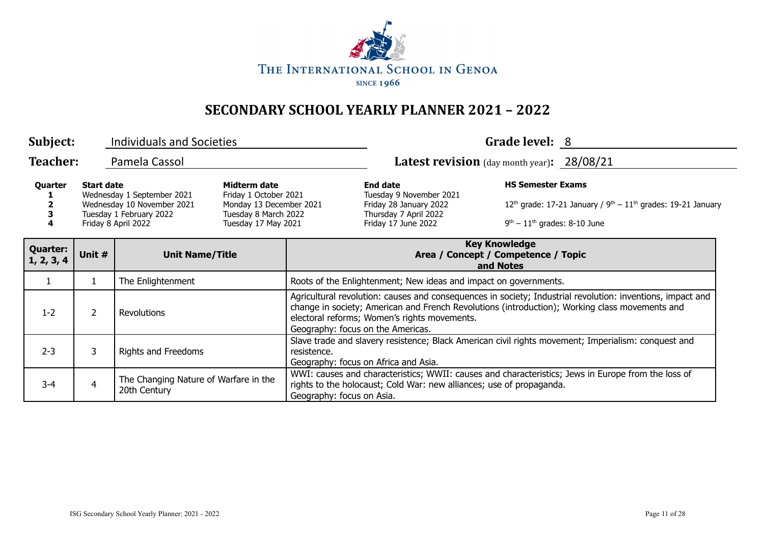

| Subject:                      |                   | <b>Individuals and Societies</b>                                                                           |                                                                                                                 |                                                                                                                                                                                                                                                                                                   |                                                                                                                                                                            | Grade level: 8                                             |                                                                            |  |
|-------------------------------|-------------------|------------------------------------------------------------------------------------------------------------|-----------------------------------------------------------------------------------------------------------------|---------------------------------------------------------------------------------------------------------------------------------------------------------------------------------------------------------------------------------------------------------------------------------------------------|----------------------------------------------------------------------------------------------------------------------------------------------------------------------------|------------------------------------------------------------|----------------------------------------------------------------------------|--|
| <b>Teacher:</b>               |                   | Pamela Cassol                                                                                              |                                                                                                                 |                                                                                                                                                                                                                                                                                                   | Latest revision (day month year): 28/08/21                                                                                                                                 |                                                            |                                                                            |  |
| Quarter<br>4                  | <b>Start date</b> | Wednesday 1 September 2021<br>Wednesday 10 November 2021<br>Tuesday 1 February 2022<br>Friday 8 April 2022 | Midterm date<br>Friday 1 October 2021<br>Monday 13 December 2021<br>Tuesday 8 March 2022<br>Tuesday 17 May 2021 |                                                                                                                                                                                                                                                                                                   | <b>End date</b><br>Tuesday 9 November 2021<br>Friday 28 January 2022<br>Thursday 7 April 2022<br>Friday 17 June 2022                                                       | <b>HS Semester Exams</b><br>$9th - 11th$ grades: 8-10 June | 12 <sup>th</sup> grade: 17-21 January / $9th - 11th$ grades: 19-21 January |  |
| <b>Quarter:</b><br>1, 2, 3, 4 | Unit #            | <b>Unit Name/Title</b>                                                                                     |                                                                                                                 | <b>Key Knowledge</b><br>Area / Concept / Competence / Topic<br>and Notes                                                                                                                                                                                                                          |                                                                                                                                                                            |                                                            |                                                                            |  |
| $\mathbf{1}$                  | $\mathbf{1}$      | The Enlightenment                                                                                          |                                                                                                                 | Roots of the Enlightenment; New ideas and impact on governments.                                                                                                                                                                                                                                  |                                                                                                                                                                            |                                                            |                                                                            |  |
| $1 - 2$                       | $\overline{2}$    | Revolutions                                                                                                |                                                                                                                 | Agricultural revolution: causes and consequences in society; Industrial revolution: inventions, impact and<br>change in society; American and French Revolutions (introduction); Working class movements and<br>electoral reforms; Women's rights movements.<br>Geography: focus on the Americas. |                                                                                                                                                                            |                                                            |                                                                            |  |
| $2 - 3$                       | 3                 | Rights and Freedoms                                                                                        |                                                                                                                 | Slave trade and slavery resistence; Black American civil rights movement; Imperialism: conquest and<br>resistence.<br>Geography: focus on Africa and Asia.                                                                                                                                        |                                                                                                                                                                            |                                                            |                                                                            |  |
| $3 - 4$                       | 4                 | The Changing Nature of Warfare in the<br>20th Century                                                      |                                                                                                                 | Geography: focus on Asia.                                                                                                                                                                                                                                                                         | WWI: causes and characteristics; WWII: causes and characteristics; Jews in Europe from the loss of<br>rights to the holocaust; Cold War: new alliances; use of propaganda. |                                                            |                                                                            |  |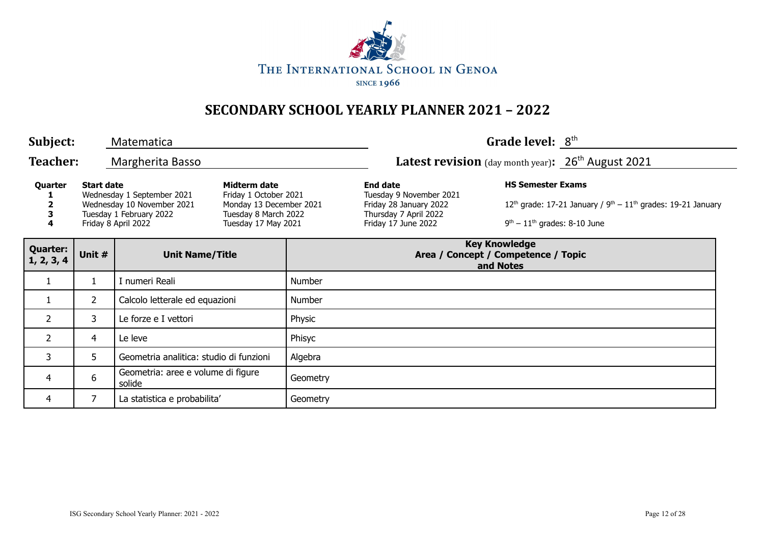

| Subject:                      |                   | Matematica                                                                                                 |                                                                                                                 |                                                                          |                                                                                                                      | Grade level: 8 <sup>th</sup>                               |                                                                                           |  |
|-------------------------------|-------------------|------------------------------------------------------------------------------------------------------------|-----------------------------------------------------------------------------------------------------------------|--------------------------------------------------------------------------|----------------------------------------------------------------------------------------------------------------------|------------------------------------------------------------|-------------------------------------------------------------------------------------------|--|
| <b>Teacher:</b>               |                   | Margherita Basso                                                                                           |                                                                                                                 |                                                                          | <b>Latest revision</b> (day month year): $26th$ August 2021                                                          |                                                            |                                                                                           |  |
| Quarter<br>3<br>4             | <b>Start date</b> | Wednesday 1 September 2021<br>Wednesday 10 November 2021<br>Tuesday 1 February 2022<br>Friday 8 April 2022 | Midterm date<br>Friday 1 October 2021<br>Monday 13 December 2021<br>Tuesday 8 March 2022<br>Tuesday 17 May 2021 |                                                                          | <b>End date</b><br>Tuesday 9 November 2021<br>Friday 28 January 2022<br>Thursday 7 April 2022<br>Friday 17 June 2022 | <b>HS Semester Exams</b><br>$9th - 11th$ grades: 8-10 June | 12 <sup>th</sup> grade: 17-21 January / $9^{th}$ – 11 <sup>th</sup> grades: 19-21 January |  |
| <b>Quarter:</b><br>1, 2, 3, 4 | Unit #            | <b>Unit Name/Title</b>                                                                                     |                                                                                                                 | <b>Key Knowledge</b><br>Area / Concept / Competence / Topic<br>and Notes |                                                                                                                      |                                                            |                                                                                           |  |
| 1                             | 1                 | I numeri Reali                                                                                             |                                                                                                                 | Number                                                                   |                                                                                                                      |                                                            |                                                                                           |  |
| $\mathbf{1}$                  | $\overline{2}$    | Calcolo letterale ed equazioni                                                                             |                                                                                                                 | Number                                                                   |                                                                                                                      |                                                            |                                                                                           |  |
| $\overline{2}$                | 3                 | Le forze e I vettori                                                                                       |                                                                                                                 | Physic                                                                   |                                                                                                                      |                                                            |                                                                                           |  |
| $\overline{2}$                | 4                 | Le leve                                                                                                    |                                                                                                                 | Phisyc                                                                   |                                                                                                                      |                                                            |                                                                                           |  |
| 3                             | 5                 | Geometria analitica: studio di funzioni                                                                    |                                                                                                                 | Algebra                                                                  |                                                                                                                      |                                                            |                                                                                           |  |
| $\overline{4}$                | 6                 | Geometria: aree e volume di figure<br>solide                                                               |                                                                                                                 | Geometry                                                                 |                                                                                                                      |                                                            |                                                                                           |  |
| 4                             |                   | La statistica e probabilita'                                                                               |                                                                                                                 | Geometry                                                                 |                                                                                                                      |                                                            |                                                                                           |  |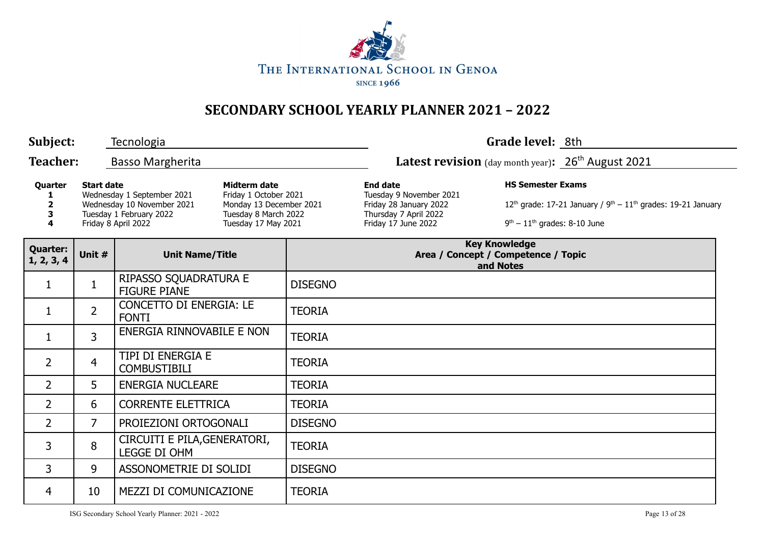

| Subject:                                                                                                                                                                                                                                                                            |                                  | Tecnologia                                     |                                                                                                                      |                                                            | Grade level: 8th                                                          |                                   |  |
|-------------------------------------------------------------------------------------------------------------------------------------------------------------------------------------------------------------------------------------------------------------------------------------|----------------------------------|------------------------------------------------|----------------------------------------------------------------------------------------------------------------------|------------------------------------------------------------|---------------------------------------------------------------------------|-----------------------------------|--|
| <b>Teacher:</b>                                                                                                                                                                                                                                                                     |                                  | <b>Basso Margherita</b>                        |                                                                                                                      |                                                            | <b>Latest revision</b> (day month year): $26th$ August 2021               |                                   |  |
| <b>Start date</b><br><b>Midterm date</b><br>Quarter<br>Wednesday 1 September 2021<br>Friday 1 October 2021<br>Wednesday 10 November 2021<br>Monday 13 December 2021<br>2<br>Tuesday 1 February 2022<br>Tuesday 8 March 2022<br>З<br>Friday 8 April 2022<br>Tuesday 17 May 2021<br>4 |                                  |                                                | <b>End date</b><br>Tuesday 9 November 2021<br>Friday 28 January 2022<br>Thursday 7 April 2022<br>Friday 17 June 2022 | <b>HS Semester Exams</b><br>$9th - 11th$ grades: 8-10 June | $12^{th}$ grade: 17-21 January / $9^{th} - 11^{th}$ grades: 19-21 January |                                   |  |
| <b>Quarter:</b><br>1, 2, 3, 4                                                                                                                                                                                                                                                       | Unit #<br><b>Unit Name/Title</b> |                                                |                                                                                                                      |                                                            | Area / Concept / Competence / Topic                                       | <b>Key Knowledge</b><br>and Notes |  |
| 1                                                                                                                                                                                                                                                                                   | $\mathbf{1}$                     | RIPASSO SQUADRATURA E<br><b>FIGURE PIANE</b>   |                                                                                                                      | <b>DISEGNO</b>                                             |                                                                           |                                   |  |
| 1                                                                                                                                                                                                                                                                                   | $\overline{2}$                   | <b>CONCETTO DI ENERGIA: LE</b><br><b>FONTI</b> |                                                                                                                      | <b>TEORIA</b>                                              |                                                                           |                                   |  |
| 1                                                                                                                                                                                                                                                                                   | $\overline{3}$                   | ENERGIA RINNOVABILE E NON                      |                                                                                                                      | <b>TEORIA</b>                                              |                                                                           |                                   |  |
| 2                                                                                                                                                                                                                                                                                   | $\overline{4}$                   | TIPI DI ENERGIA E<br><b>COMBUSTIBILI</b>       |                                                                                                                      | <b>TEORIA</b>                                              |                                                                           |                                   |  |
| $\overline{2}$                                                                                                                                                                                                                                                                      | 5                                | <b>ENERGIA NUCLEARE</b>                        |                                                                                                                      | <b>TEORIA</b>                                              |                                                                           |                                   |  |
| 2                                                                                                                                                                                                                                                                                   | 6                                | <b>CORRENTE ELETTRICA</b>                      |                                                                                                                      | <b>TEORIA</b>                                              |                                                                           |                                   |  |
| 2                                                                                                                                                                                                                                                                                   | $\overline{7}$                   | PROIEZIONI ORTOGONALI                          |                                                                                                                      | <b>DISEGNO</b>                                             |                                                                           |                                   |  |
| 3                                                                                                                                                                                                                                                                                   | 8                                | CIRCUITI E PILA, GENERATORI,<br>LEGGE DI OHM   |                                                                                                                      | <b>TEORIA</b>                                              |                                                                           |                                   |  |
| 3                                                                                                                                                                                                                                                                                   | 9                                | ASSONOMETRIE DI SOLIDI                         |                                                                                                                      | <b>DISEGNO</b>                                             |                                                                           |                                   |  |
| 4                                                                                                                                                                                                                                                                                   | 10                               | <b>MEZZI DI COMUNICAZIONE</b>                  |                                                                                                                      | <b>TEORIA</b>                                              |                                                                           |                                   |  |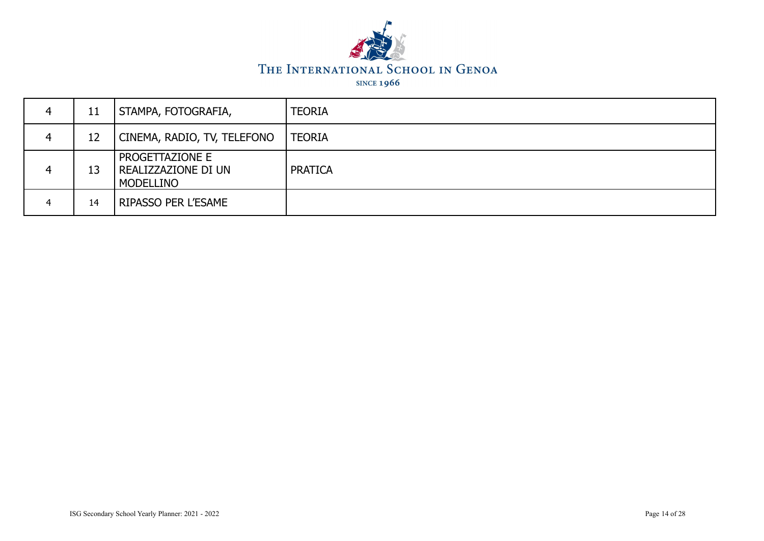

| 4 | 11 | STAMPA, FOTOGRAFIA,                                        | <b>TEORIA</b>  |
|---|----|------------------------------------------------------------|----------------|
| 4 | 12 | CINEMA, RADIO, TV, TELEFONO                                | <b>TEORIA</b>  |
|   | 13 | PROGETTAZIONE E<br><b>REALIZZAZIONE DI UN</b><br>MODELLINO | <b>PRATICA</b> |
| 4 | 14 | <b>RIPASSO PER L'ESAME</b>                                 |                |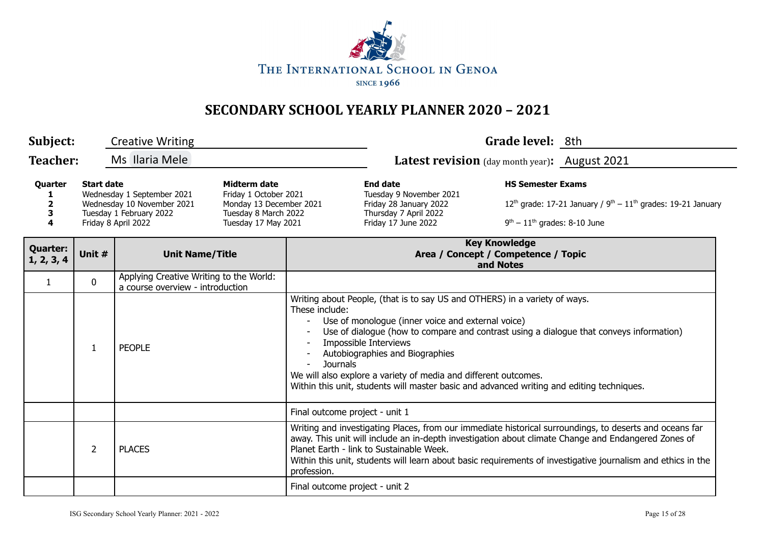

| Subject:                                                                                                                                                                                                                                                                            |                                  | <b>Creative Writing</b>                                                     |  |                                                                                                                                                                                                                                                                                                                                                                                                                                                                                             |                                                            | Grade level: 8th                                                          |                                                                                                                                                                                                                                                                                                                                |  |
|-------------------------------------------------------------------------------------------------------------------------------------------------------------------------------------------------------------------------------------------------------------------------------------|----------------------------------|-----------------------------------------------------------------------------|--|---------------------------------------------------------------------------------------------------------------------------------------------------------------------------------------------------------------------------------------------------------------------------------------------------------------------------------------------------------------------------------------------------------------------------------------------------------------------------------------------|------------------------------------------------------------|---------------------------------------------------------------------------|--------------------------------------------------------------------------------------------------------------------------------------------------------------------------------------------------------------------------------------------------------------------------------------------------------------------------------|--|
| <b>Teacher:</b>                                                                                                                                                                                                                                                                     |                                  | Ms Ilaria Mele                                                              |  |                                                                                                                                                                                                                                                                                                                                                                                                                                                                                             | Latest revision (day month year): August 2021              |                                                                           |                                                                                                                                                                                                                                                                                                                                |  |
| <b>Midterm date</b><br><b>Start date</b><br>Quarter<br>Wednesday 1 September 2021<br>Friday 1 October 2021<br>Wednesday 10 November 2021<br>Monday 13 December 2021<br>2<br>Tuesday 1 February 2022<br>Tuesday 8 March 2022<br>3<br>Tuesday 17 May 2021<br>Friday 8 April 2022<br>4 |                                  |                                                                             |  | <b>End date</b><br>Tuesday 9 November 2021<br>Friday 28 January 2022<br>Thursday 7 April 2022<br>Friday 17 June 2022                                                                                                                                                                                                                                                                                                                                                                        | <b>HS Semester Exams</b><br>$9th - 11th$ grades: 8-10 June | $12^{th}$ grade: 17-21 January / $9^{th} - 11^{th}$ grades: 19-21 January |                                                                                                                                                                                                                                                                                                                                |  |
| <b>Quarter:</b><br>1, 2, 3, 4                                                                                                                                                                                                                                                       | Unit #<br><b>Unit Name/Title</b> |                                                                             |  |                                                                                                                                                                                                                                                                                                                                                                                                                                                                                             |                                                            | <b>Key Knowledge</b><br>Area / Concept / Competence / Topic<br>and Notes  |                                                                                                                                                                                                                                                                                                                                |  |
| $\mathbf{1}$                                                                                                                                                                                                                                                                        | $\mathbf 0$                      | Applying Creative Writing to the World:<br>a course overview - introduction |  |                                                                                                                                                                                                                                                                                                                                                                                                                                                                                             |                                                            |                                                                           |                                                                                                                                                                                                                                                                                                                                |  |
|                                                                                                                                                                                                                                                                                     | $\mathbf{1}$                     | <b>PEOPLE</b>                                                               |  | Writing about People, (that is to say US and OTHERS) in a variety of ways.<br>These include:<br>Use of monologue (inner voice and external voice)<br>Use of dialogue (how to compare and contrast using a dialogue that conveys information)<br>Impossible Interviews<br>Autobiographies and Biographies<br><b>Journals</b><br>We will also explore a variety of media and different outcomes.<br>Within this unit, students will master basic and advanced writing and editing techniques. |                                                            |                                                                           |                                                                                                                                                                                                                                                                                                                                |  |
|                                                                                                                                                                                                                                                                                     |                                  |                                                                             |  | Final outcome project - unit 1                                                                                                                                                                                                                                                                                                                                                                                                                                                              |                                                            |                                                                           |                                                                                                                                                                                                                                                                                                                                |  |
|                                                                                                                                                                                                                                                                                     | $\overline{2}$                   | <b>PLACES</b>                                                               |  | profession.                                                                                                                                                                                                                                                                                                                                                                                                                                                                                 | Planet Earth - link to Sustainable Week.                   |                                                                           | Writing and investigating Places, from our immediate historical surroundings, to deserts and oceans far<br>away. This unit will include an in-depth investigation about climate Change and Endangered Zones of<br>Within this unit, students will learn about basic requirements of investigative journalism and ethics in the |  |
|                                                                                                                                                                                                                                                                                     |                                  |                                                                             |  | Final outcome project - unit 2                                                                                                                                                                                                                                                                                                                                                                                                                                                              |                                                            |                                                                           |                                                                                                                                                                                                                                                                                                                                |  |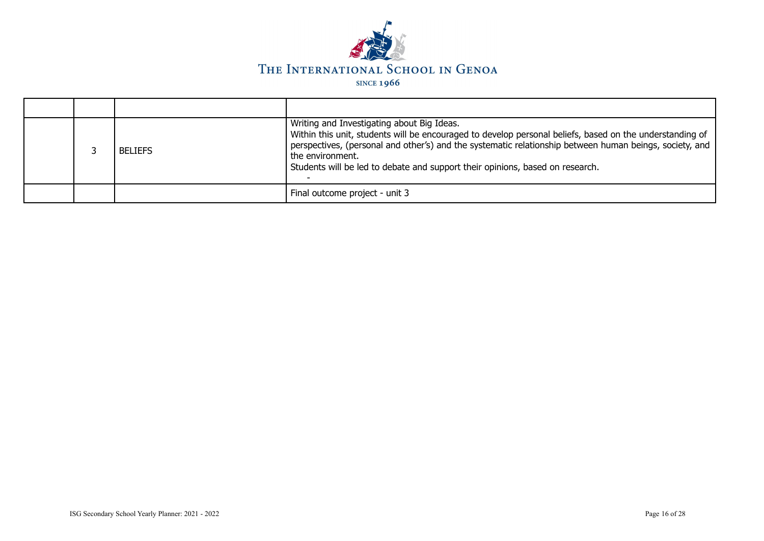

|  | <b>BELIEFS</b> | Writing and Investigating about Big Ideas.<br>Within this unit, students will be encouraged to develop personal beliefs, based on the understanding of<br>perspectives, (personal and other's) and the systematic relationship between human beings, society, and<br>the environment.<br>Students will be led to debate and support their opinions, based on research. |
|--|----------------|------------------------------------------------------------------------------------------------------------------------------------------------------------------------------------------------------------------------------------------------------------------------------------------------------------------------------------------------------------------------|
|  |                | Final outcome project - unit 3                                                                                                                                                                                                                                                                                                                                         |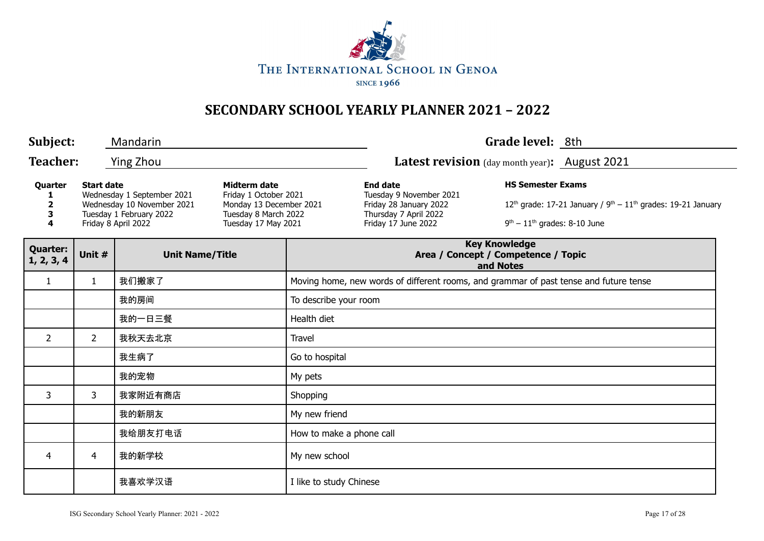

| Subject:                      |                   | Mandarin                                                                                                   |                                                                                                                 |                                                                                       |                                                                                                                      | Grade level: 8th                                                         |                                                                  |  |
|-------------------------------|-------------------|------------------------------------------------------------------------------------------------------------|-----------------------------------------------------------------------------------------------------------------|---------------------------------------------------------------------------------------|----------------------------------------------------------------------------------------------------------------------|--------------------------------------------------------------------------|------------------------------------------------------------------|--|
| <b>Teacher:</b>               |                   | <b>Ying Zhou</b>                                                                                           |                                                                                                                 |                                                                                       | Latest revision (day month year): August 2021                                                                        |                                                                          |                                                                  |  |
| Quarter<br>1<br>2<br>3<br>4   | <b>Start date</b> | Wednesday 1 September 2021<br>Wednesday 10 November 2021<br>Tuesday 1 February 2022<br>Friday 8 April 2022 | Midterm date<br>Friday 1 October 2021<br>Monday 13 December 2021<br>Tuesday 8 March 2022<br>Tuesday 17 May 2021 |                                                                                       | <b>End date</b><br>Tuesday 9 November 2021<br>Friday 28 January 2022<br>Thursday 7 April 2022<br>Friday 17 June 2022 | <b>HS Semester Exams</b><br>$9th - 11th$ grades: 8-10 June               | $12th$ grade: 17-21 January / $9th - 11th$ grades: 19-21 January |  |
| <b>Quarter:</b><br>1, 2, 3, 4 | Unit #            | <b>Unit Name/Title</b>                                                                                     |                                                                                                                 |                                                                                       |                                                                                                                      | <b>Key Knowledge</b><br>Area / Concept / Competence / Topic<br>and Notes |                                                                  |  |
| $\mathbf{1}$                  | $\mathbf{1}$      | 我们搬家了                                                                                                      |                                                                                                                 | Moving home, new words of different rooms, and grammar of past tense and future tense |                                                                                                                      |                                                                          |                                                                  |  |
|                               |                   | 我的房间                                                                                                       |                                                                                                                 | To describe your room                                                                 |                                                                                                                      |                                                                          |                                                                  |  |
|                               |                   | 我的一日三餐                                                                                                     |                                                                                                                 | Health diet                                                                           |                                                                                                                      |                                                                          |                                                                  |  |
| $\overline{2}$                | $\overline{2}$    | 我秋天去北京                                                                                                     |                                                                                                                 | Travel                                                                                |                                                                                                                      |                                                                          |                                                                  |  |
|                               |                   | 我生病了                                                                                                       |                                                                                                                 | Go to hospital                                                                        |                                                                                                                      |                                                                          |                                                                  |  |
|                               |                   | 我的宠物                                                                                                       |                                                                                                                 | My pets                                                                               |                                                                                                                      |                                                                          |                                                                  |  |
| 3                             | 3                 | 我家附近有商店                                                                                                    |                                                                                                                 | Shopping                                                                              |                                                                                                                      |                                                                          |                                                                  |  |
|                               |                   | 我的新朋友                                                                                                      |                                                                                                                 | My new friend                                                                         |                                                                                                                      |                                                                          |                                                                  |  |
|                               |                   | 我给朋友打电话                                                                                                    |                                                                                                                 | How to make a phone call                                                              |                                                                                                                      |                                                                          |                                                                  |  |
| 4                             | 4                 | 我的新学校                                                                                                      |                                                                                                                 | My new school                                                                         |                                                                                                                      |                                                                          |                                                                  |  |
|                               |                   | 我喜欢学汉语                                                                                                     |                                                                                                                 | I like to study Chinese                                                               |                                                                                                                      |                                                                          |                                                                  |  |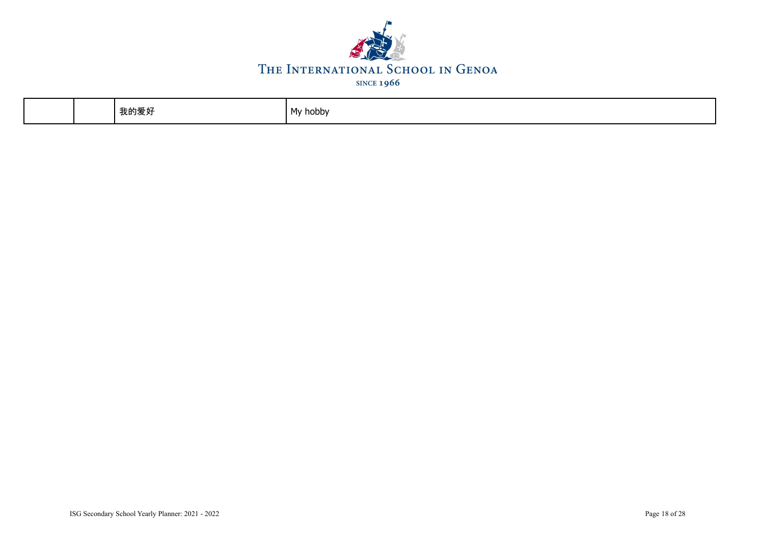

| .<br>我的爱好 | My hobby |
|-----------|----------|
|-----------|----------|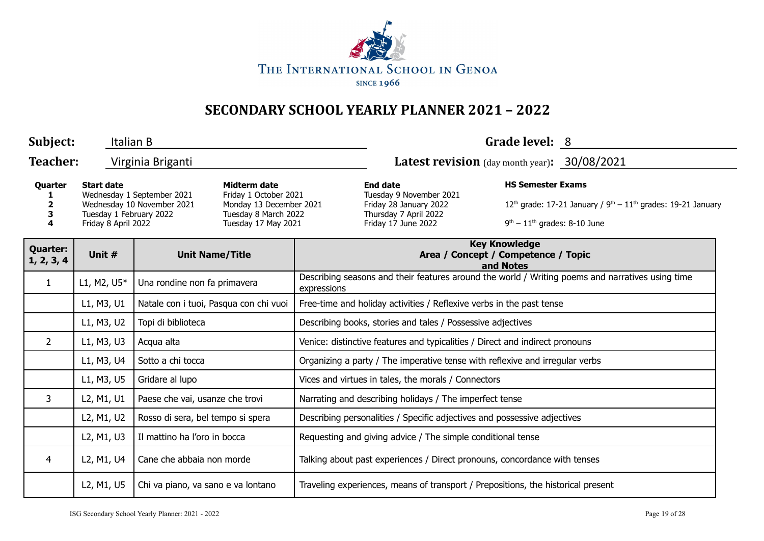

| Subject:                                                                                                                                                                                                                                                                       | Italian B   |                                        |  | Grade level: 8                                                                                                       |                                                                                  |                                                                            |                                                                                                  |  |  |
|--------------------------------------------------------------------------------------------------------------------------------------------------------------------------------------------------------------------------------------------------------------------------------|-------------|----------------------------------------|--|----------------------------------------------------------------------------------------------------------------------|----------------------------------------------------------------------------------|----------------------------------------------------------------------------|--------------------------------------------------------------------------------------------------|--|--|
| <b>Teacher:</b>                                                                                                                                                                                                                                                                |             | Virginia Briganti                      |  |                                                                                                                      | <b>Latest revision</b> (day month year): 30/08/2021                              |                                                                            |                                                                                                  |  |  |
| <b>Start date</b><br><b>Midterm date</b><br>Quarter<br>Wednesday 1 September 2021<br>Friday 1 October 2021<br>Wednesday 10 November 2021<br>Monday 13 December 2021<br>Tuesday 1 February 2022<br>Tuesday 8 March 2022<br>з<br>Friday 8 April 2022<br>Tuesday 17 May 2021<br>4 |             |                                        |  | <b>End date</b><br>Tuesday 9 November 2021<br>Friday 28 January 2022<br>Thursday 7 April 2022<br>Friday 17 June 2022 | <b>HS Semester Exams</b><br>$9th - 11th$ grades: 8-10 June                       | 12 <sup>th</sup> grade: 17-21 January / $9th - 11th$ grades: 19-21 January |                                                                                                  |  |  |
| <b>Quarter:</b><br>1, 2, 3, 4                                                                                                                                                                                                                                                  | Unit #      | <b>Unit Name/Title</b>                 |  | <b>Key Knowledge</b><br>Area / Concept / Competence / Topic<br>and Notes                                             |                                                                                  |                                                                            |                                                                                                  |  |  |
| $\mathbf{1}$                                                                                                                                                                                                                                                                   | L1, M2, U5* | Una rondine non fa primavera           |  | expressions                                                                                                          |                                                                                  |                                                                            | Describing seasons and their features around the world / Writing poems and narratives using time |  |  |
|                                                                                                                                                                                                                                                                                | L1, M3, U1  | Natale con i tuoi, Pasqua con chi vuoi |  |                                                                                                                      | Free-time and holiday activities / Reflexive verbs in the past tense             |                                                                            |                                                                                                  |  |  |
|                                                                                                                                                                                                                                                                                | L1, M3, U2  | Topi di biblioteca                     |  | Describing books, stories and tales / Possessive adjectives                                                          |                                                                                  |                                                                            |                                                                                                  |  |  |
| $\overline{2}$                                                                                                                                                                                                                                                                 | L1, M3, U3  | Acqua alta                             |  | Venice: distinctive features and typicalities / Direct and indirect pronouns                                         |                                                                                  |                                                                            |                                                                                                  |  |  |
|                                                                                                                                                                                                                                                                                | L1, M3, U4  | Sotto a chi tocca                      |  | Organizing a party / The imperative tense with reflexive and irregular verbs                                         |                                                                                  |                                                                            |                                                                                                  |  |  |
|                                                                                                                                                                                                                                                                                | L1, M3, U5  | Gridare al lupo                        |  |                                                                                                                      | Vices and virtues in tales, the morals / Connectors                              |                                                                            |                                                                                                  |  |  |
| 3                                                                                                                                                                                                                                                                              | L2, M1, U1  | Paese che vai, usanze che trovi        |  |                                                                                                                      | Narrating and describing holidays / The imperfect tense                          |                                                                            |                                                                                                  |  |  |
|                                                                                                                                                                                                                                                                                | L2, M1, U2  | Rosso di sera, bel tempo si spera      |  |                                                                                                                      | Describing personalities / Specific adjectives and possessive adjectives         |                                                                            |                                                                                                  |  |  |
|                                                                                                                                                                                                                                                                                | L2, M1, U3  | Il mattino ha l'oro in bocca           |  |                                                                                                                      | Requesting and giving advice / The simple conditional tense                      |                                                                            |                                                                                                  |  |  |
| 4                                                                                                                                                                                                                                                                              | L2, M1, U4  | Cane che abbaia non morde              |  |                                                                                                                      | Talking about past experiences / Direct pronouns, concordance with tenses        |                                                                            |                                                                                                  |  |  |
|                                                                                                                                                                                                                                                                                | L2, M1, U5  | Chi va piano, va sano e va lontano     |  |                                                                                                                      | Traveling experiences, means of transport / Prepositions, the historical present |                                                                            |                                                                                                  |  |  |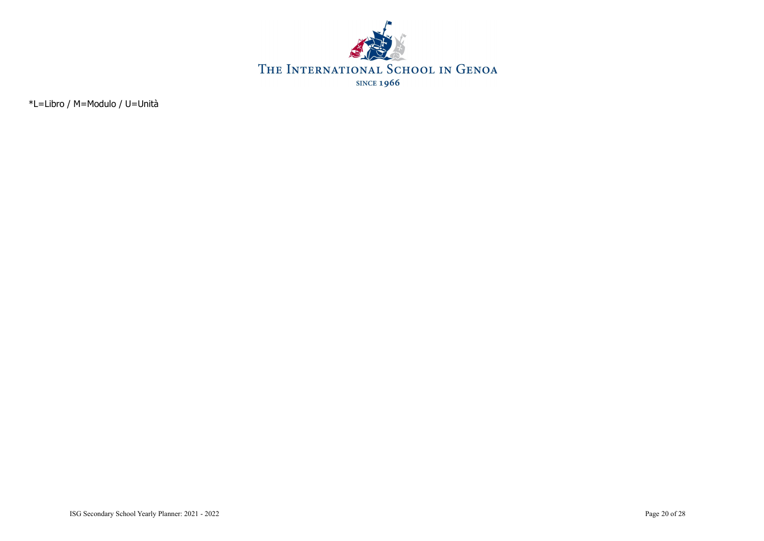

\*L=Libro / M=Modulo / U=Unità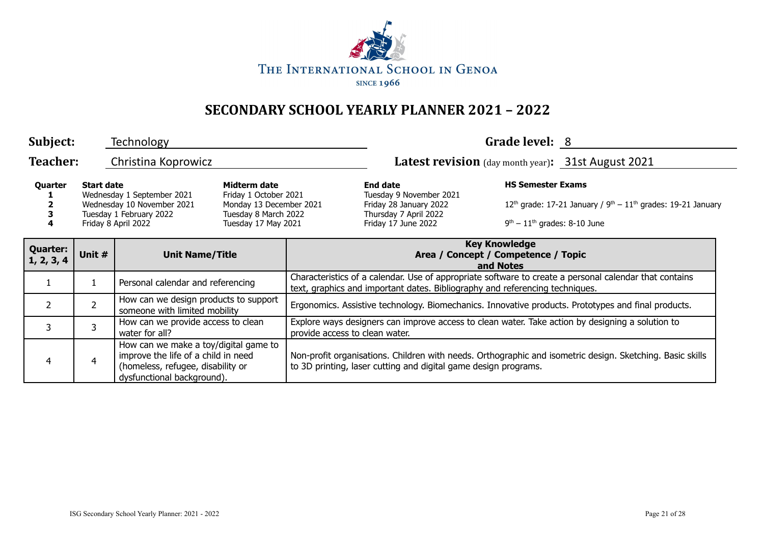

| Subject:                                                                                                                                                                                                                                                      |        | Technology                                                                                                                                      |  |                                                                                                                                    |                                                                              | Grade level: 8                                                                            |                                                                                                           |  |
|---------------------------------------------------------------------------------------------------------------------------------------------------------------------------------------------------------------------------------------------------------------|--------|-------------------------------------------------------------------------------------------------------------------------------------------------|--|------------------------------------------------------------------------------------------------------------------------------------|------------------------------------------------------------------------------|-------------------------------------------------------------------------------------------|-----------------------------------------------------------------------------------------------------------|--|
| <b>Teacher:</b>                                                                                                                                                                                                                                               |        | Christina Koprowicz                                                                                                                             |  |                                                                                                                                    |                                                                              |                                                                                           | Latest revision (day month year): 31st August 2021                                                        |  |
| Midterm date<br>Quarter<br><b>Start date</b><br>Wednesday 1 September 2021<br>Friday 1 October 2021<br>Wednesday 10 November 2021<br>Monday 13 December 2021<br>Tuesday 1 February 2022<br>Tuesday 8 March 2022<br>Friday 8 April 2022<br>Tuesday 17 May 2021 |        |                                                                                                                                                 |  | <b>End date</b><br>Tuesday 9 November 2021<br>Friday 28 January 2022<br>Thursday 7 April 2022<br>Friday 17 June 2022               | <b>HS Semester Exams</b><br>$9th - 11th$ grades: 8-10 June                   | 12 <sup>th</sup> grade: 17-21 January / $9^{th}$ – 11 <sup>th</sup> grades: 19-21 January |                                                                                                           |  |
| <b>Quarter:</b><br>1, 2, 3, 4                                                                                                                                                                                                                                 | Unit # | <b>Unit Name/Title</b>                                                                                                                          |  | <b>Key Knowledge</b><br>Area / Concept / Competence / Topic<br>and Notes                                                           |                                                                              |                                                                                           |                                                                                                           |  |
|                                                                                                                                                                                                                                                               |        | Personal calendar and referencing                                                                                                               |  |                                                                                                                                    | text, graphics and important dates. Bibliography and referencing techniques. |                                                                                           | Characteristics of a calendar. Use of appropriate software to create a personal calendar that contains    |  |
| $\overline{2}$                                                                                                                                                                                                                                                | 2      | How can we design products to support<br>someone with limited mobility                                                                          |  | Ergonomics. Assistive technology. Biomechanics. Innovative products. Prototypes and final products.                                |                                                                              |                                                                                           |                                                                                                           |  |
| 3                                                                                                                                                                                                                                                             | 3      | How can we provide access to clean<br>water for all?                                                                                            |  | Explore ways designers can improve access to clean water. Take action by designing a solution to<br>provide access to clean water. |                                                                              |                                                                                           |                                                                                                           |  |
| 4                                                                                                                                                                                                                                                             | 4      | How can we make a toy/digital game to<br>improve the life of a child in need<br>(homeless, refugee, disability or<br>dysfunctional background). |  |                                                                                                                                    | to 3D printing, laser cutting and digital game design programs.              |                                                                                           | Non-profit organisations. Children with needs. Orthographic and isometric design. Sketching. Basic skills |  |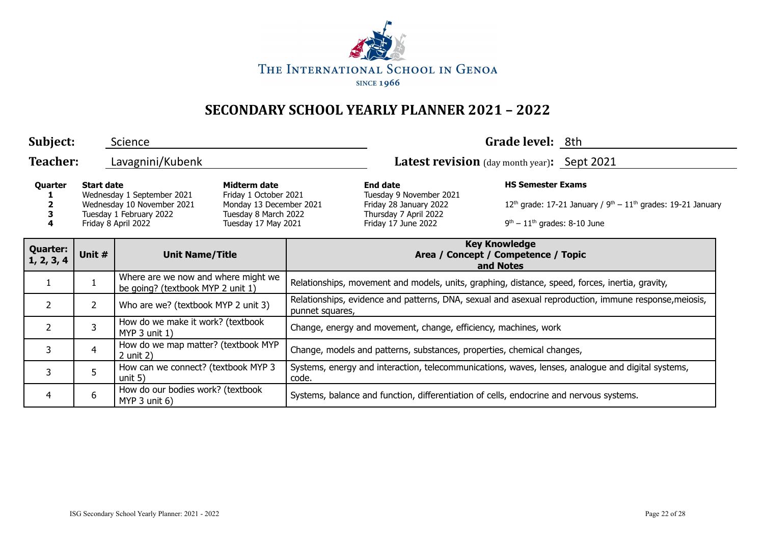

| Subject:                      |                   | Science                                                                                                    |                                                                                                                 |                                                                                                                          |                                                                                                                      | Grade level: 8th                                           |                                                                  |  |
|-------------------------------|-------------------|------------------------------------------------------------------------------------------------------------|-----------------------------------------------------------------------------------------------------------------|--------------------------------------------------------------------------------------------------------------------------|----------------------------------------------------------------------------------------------------------------------|------------------------------------------------------------|------------------------------------------------------------------|--|
| <b>Teacher:</b>               |                   | Latest revision (day month year): Sept 2021<br>Lavagnini/Kubenk                                            |                                                                                                                 |                                                                                                                          |                                                                                                                      |                                                            |                                                                  |  |
| Quarter                       | <b>Start date</b> | Wednesday 1 September 2021<br>Wednesday 10 November 2021<br>Tuesday 1 February 2022<br>Friday 8 April 2022 | Midterm date<br>Friday 1 October 2021<br>Monday 13 December 2021<br>Tuesday 8 March 2022<br>Tuesday 17 May 2021 |                                                                                                                          | <b>End date</b><br>Tuesday 9 November 2021<br>Friday 28 January 2022<br>Thursday 7 April 2022<br>Friday 17 June 2022 | <b>HS Semester Exams</b><br>$9th - 11th$ grades: 8-10 June | $12th$ grade: 17-21 January / $9th - 11th$ grades: 19-21 January |  |
| <b>Quarter:</b><br>1, 2, 3, 4 | Unit #            | <b>Unit Name/Title</b>                                                                                     |                                                                                                                 | <b>Key Knowledge</b><br>Area / Concept / Competence / Topic<br>and Notes                                                 |                                                                                                                      |                                                            |                                                                  |  |
|                               |                   | Where are we now and where might we<br>be going? (textbook MYP 2 unit 1)                                   |                                                                                                                 | Relationships, movement and models, units, graphing, distance, speed, forces, inertia, gravity,                          |                                                                                                                      |                                                            |                                                                  |  |
| $\mathcal{L}$                 | $\overline{2}$    | Who are we? (textbook MYP 2 unit 3)                                                                        |                                                                                                                 | Relationships, evidence and patterns, DNA, sexual and asexual reproduction, immune response, meiosis,<br>punnet squares, |                                                                                                                      |                                                            |                                                                  |  |
| $\mathcal{L}$                 | 3                 | How do we make it work? (textbook<br>$MYP$ 3 unit 1)                                                       |                                                                                                                 | Change, energy and movement, change, efficiency, machines, work                                                          |                                                                                                                      |                                                            |                                                                  |  |
| 3                             | $\overline{4}$    | How do we map matter? (textbook MYP<br>$2$ unit $2)$                                                       |                                                                                                                 | Change, models and patterns, substances, properties, chemical changes,                                                   |                                                                                                                      |                                                            |                                                                  |  |
| 3                             | 5                 | How can we connect? (textbook MYP 3<br>unit $5)$                                                           |                                                                                                                 | Systems, energy and interaction, telecommunications, waves, lenses, analogue and digital systems,<br>code.               |                                                                                                                      |                                                            |                                                                  |  |
| 4                             | 6                 | How do our bodies work? (textbook<br>MYP $3$ unit $6$ )                                                    |                                                                                                                 |                                                                                                                          | Systems, balance and function, differentiation of cells, endocrine and nervous systems.                              |                                                            |                                                                  |  |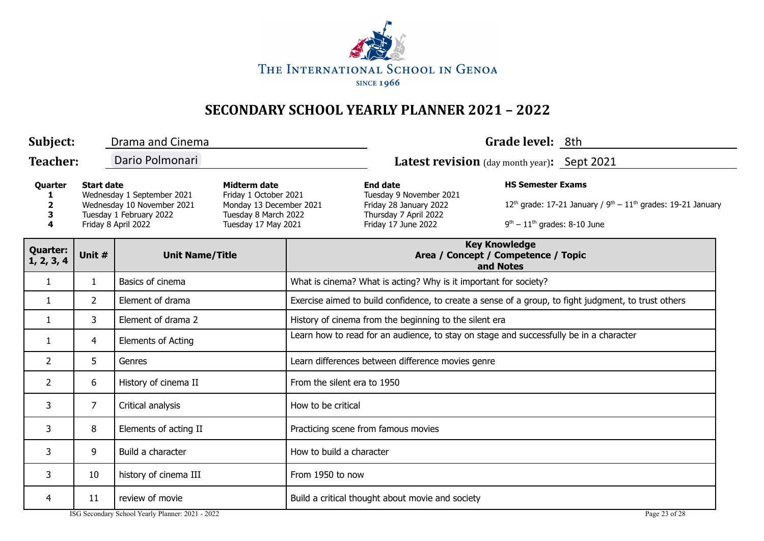

| Subject:                      |                   | Drama and Cinema                                                                                           |                                                                                                                 |                                                                                                      |                                                                                                                      | Grade level: 8th                                                         |                                                                  |  |  |
|-------------------------------|-------------------|------------------------------------------------------------------------------------------------------------|-----------------------------------------------------------------------------------------------------------------|------------------------------------------------------------------------------------------------------|----------------------------------------------------------------------------------------------------------------------|--------------------------------------------------------------------------|------------------------------------------------------------------|--|--|
| <b>Teacher:</b>               |                   | Dario Polmonari                                                                                            |                                                                                                                 |                                                                                                      | Latest revision (day month year): Sept 2021                                                                          |                                                                          |                                                                  |  |  |
| Quarter<br>1<br>2<br>3<br>4   | <b>Start date</b> | Wednesday 1 September 2021<br>Wednesday 10 November 2021<br>Tuesday 1 February 2022<br>Friday 8 April 2022 | Midterm date<br>Friday 1 October 2021<br>Monday 13 December 2021<br>Tuesday 8 March 2022<br>Tuesday 17 May 2021 |                                                                                                      | <b>End date</b><br>Tuesday 9 November 2021<br>Friday 28 January 2022<br>Thursday 7 April 2022<br>Friday 17 June 2022 | <b>HS Semester Exams</b><br>$9th - 11th$ grades: 8-10 June               | $12th$ grade: 17-21 January / $9th - 11th$ grades: 19-21 January |  |  |
| <b>Quarter:</b><br>1, 2, 3, 4 | Unit #            | <b>Unit Name/Title</b>                                                                                     |                                                                                                                 |                                                                                                      |                                                                                                                      | <b>Key Knowledge</b><br>Area / Concept / Competence / Topic<br>and Notes |                                                                  |  |  |
| $\mathbf{1}$                  | $\mathbf{1}$      | Basics of cinema                                                                                           |                                                                                                                 |                                                                                                      | What is cinema? What is acting? Why is it important for society?                                                     |                                                                          |                                                                  |  |  |
| $\mathbf{1}$                  | $\overline{2}$    | Element of drama                                                                                           |                                                                                                                 | Exercise aimed to build confidence, to create a sense of a group, to fight judgment, to trust others |                                                                                                                      |                                                                          |                                                                  |  |  |
| 1                             | 3                 | Element of drama 2                                                                                         |                                                                                                                 | History of cinema from the beginning to the silent era                                               |                                                                                                                      |                                                                          |                                                                  |  |  |
| 1                             | 4                 | <b>Elements of Acting</b>                                                                                  |                                                                                                                 | Learn how to read for an audience, to stay on stage and successfully be in a character               |                                                                                                                      |                                                                          |                                                                  |  |  |
| $\overline{2}$                | 5                 | Genres                                                                                                     |                                                                                                                 | Learn differences between difference movies genre                                                    |                                                                                                                      |                                                                          |                                                                  |  |  |
| 2                             | 6                 | History of cinema II                                                                                       |                                                                                                                 | From the silent era to 1950                                                                          |                                                                                                                      |                                                                          |                                                                  |  |  |
| 3                             | $\overline{7}$    | Critical analysis                                                                                          |                                                                                                                 | How to be critical                                                                                   |                                                                                                                      |                                                                          |                                                                  |  |  |
| 3                             | 8                 | Elements of acting II                                                                                      |                                                                                                                 | Practicing scene from famous movies                                                                  |                                                                                                                      |                                                                          |                                                                  |  |  |
| 3                             | 9                 | Build a character                                                                                          |                                                                                                                 | How to build a character                                                                             |                                                                                                                      |                                                                          |                                                                  |  |  |
| 3                             | 10                | history of cinema III                                                                                      |                                                                                                                 | From 1950 to now                                                                                     |                                                                                                                      |                                                                          |                                                                  |  |  |
| 4                             | 11                | review of movie                                                                                            |                                                                                                                 |                                                                                                      | Build a critical thought about movie and society                                                                     |                                                                          |                                                                  |  |  |
|                               |                   | ISG Secondary School Yearly Planner: 2021 - 2022                                                           |                                                                                                                 |                                                                                                      |                                                                                                                      |                                                                          | Page 23 of 28                                                    |  |  |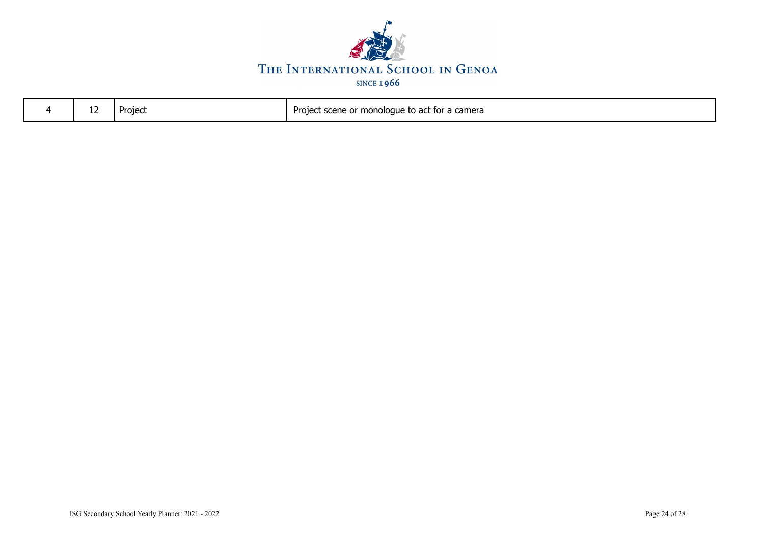

| Project scene or monologue to act for a camera<br>Projec<br>-- |  |  |  |  |
|----------------------------------------------------------------|--|--|--|--|
|----------------------------------------------------------------|--|--|--|--|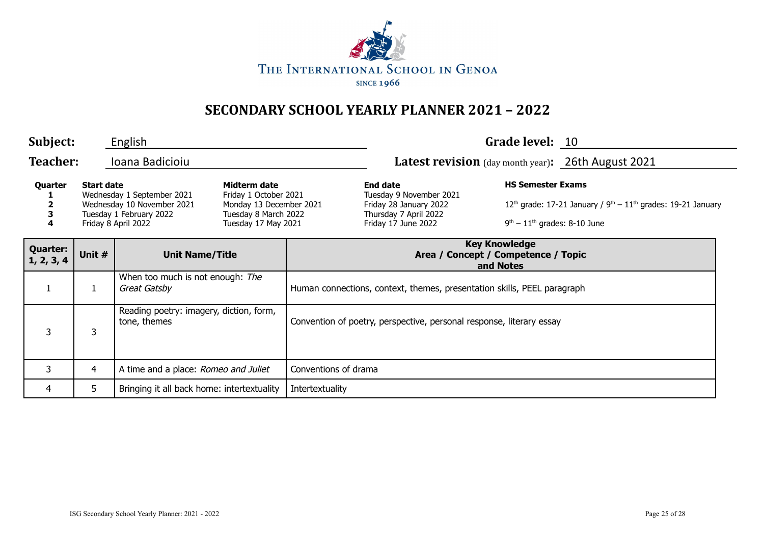

| Subject:                      |                   | English                                                                                                    |                                                                                                                 |                                                                          |                                                                                                                      | Grade level: 10                                            |                                                                  |
|-------------------------------|-------------------|------------------------------------------------------------------------------------------------------------|-----------------------------------------------------------------------------------------------------------------|--------------------------------------------------------------------------|----------------------------------------------------------------------------------------------------------------------|------------------------------------------------------------|------------------------------------------------------------------|
| <b>Teacher:</b>               |                   | Ioana Badicioiu                                                                                            |                                                                                                                 |                                                                          | <b>Latest revision</b> (day month year): 26th August 2021                                                            |                                                            |                                                                  |
| Quarter<br>4                  | <b>Start date</b> | Wednesday 1 September 2021<br>Wednesday 10 November 2021<br>Tuesday 1 February 2022<br>Friday 8 April 2022 | Midterm date<br>Friday 1 October 2021<br>Monday 13 December 2021<br>Tuesday 8 March 2022<br>Tuesday 17 May 2021 |                                                                          | <b>End date</b><br>Tuesday 9 November 2021<br>Friday 28 January 2022<br>Thursday 7 April 2022<br>Friday 17 June 2022 | <b>HS Semester Exams</b><br>$9th - 11th$ grades: 8-10 June | $12th$ grade: 17-21 January / $9th - 11th$ grades: 19-21 January |
| <b>Quarter:</b><br>1, 2, 3, 4 | Unit #            | <b>Unit Name/Title</b>                                                                                     |                                                                                                                 | <b>Key Knowledge</b><br>Area / Concept / Competence / Topic<br>and Notes |                                                                                                                      |                                                            |                                                                  |
| $\mathbf{1}$                  |                   | When too much is not enough: The<br>Great Gatsby                                                           |                                                                                                                 |                                                                          | Human connections, context, themes, presentation skills, PEEL paragraph                                              |                                                            |                                                                  |
| 3                             | 3                 | Reading poetry: imagery, diction, form,<br>tone, themes                                                    |                                                                                                                 |                                                                          | Convention of poetry, perspective, personal response, literary essay                                                 |                                                            |                                                                  |
| 3                             | 4                 | A time and a place: Romeo and Juliet                                                                       |                                                                                                                 | Conventions of drama                                                     |                                                                                                                      |                                                            |                                                                  |
| 4                             | 5                 | Bringing it all back home: intertextuality                                                                 |                                                                                                                 | Intertextuality                                                          |                                                                                                                      |                                                            |                                                                  |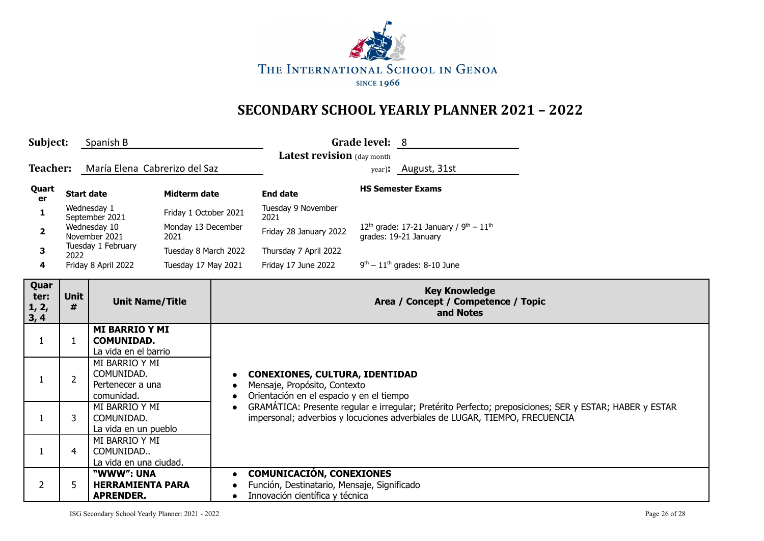

| Subject:<br>Spanish B         |                   |                                                                    |                            |           | Grade level: 8                                                                                                    |                                                                                                                                                                                       |  |  |
|-------------------------------|-------------------|--------------------------------------------------------------------|----------------------------|-----------|-------------------------------------------------------------------------------------------------------------------|---------------------------------------------------------------------------------------------------------------------------------------------------------------------------------------|--|--|
|                               |                   | Latest revision (day month                                         |                            |           |                                                                                                                   |                                                                                                                                                                                       |  |  |
| Teacher:                      |                   | María Elena Cabrerizo del Saz                                      |                            |           |                                                                                                                   | year): August, 31st                                                                                                                                                                   |  |  |
| Quart<br>er                   | <b>Start date</b> |                                                                    | Midterm date               |           | <b>End date</b>                                                                                                   | <b>HS Semester Exams</b>                                                                                                                                                              |  |  |
| 1                             |                   | Wednesday 1<br>September 2021                                      | Friday 1 October 2021      |           | Tuesday 9 November<br>2021                                                                                        |                                                                                                                                                                                       |  |  |
| $\mathbf{2}$                  |                   | Wednesday 10<br>November 2021                                      | Monday 13 December<br>2021 |           | Friday 28 January 2022                                                                                            | 12 <sup>th</sup> grade: 17-21 January / $9^{th} - 11^{th}$<br>grades: 19-21 January                                                                                                   |  |  |
| 3                             | 2022              | Tuesday 1 February                                                 | Tuesday 8 March 2022       |           | Thursday 7 April 2022                                                                                             |                                                                                                                                                                                       |  |  |
| 4                             |                   | Friday 8 April 2022                                                | Tuesday 17 May 2021        |           | Friday 17 June 2022                                                                                               | $9th - 11th$ grades: 8-10 June                                                                                                                                                        |  |  |
| Quar<br>ter:<br>1, 2,<br>3, 4 | <b>Unit</b><br>#  | <b>Unit Name/Title</b>                                             |                            |           |                                                                                                                   | <b>Key Knowledge</b><br>Area / Concept / Competence / Topic<br>and Notes                                                                                                              |  |  |
| 1                             | 1                 | <b>MI BARRIO Y MI</b><br><b>COMUNIDAD.</b><br>La vida en el barrio |                            |           |                                                                                                                   |                                                                                                                                                                                       |  |  |
| 1                             | $\overline{2}$    | MI BARRIO Y MI<br>COMUNIDAD.<br>Pertenecer a una<br>comunidad.     |                            |           | <b>CONEXIONES, CULTURA, IDENTIDAD</b><br>Mensaje, Propósito, Contexto<br>Orientación en el espacio y en el tiempo |                                                                                                                                                                                       |  |  |
| 1                             | 3                 | MI BARRIO Y MI<br>COMUNIDAD.<br>La vida en un pueblo               |                            |           |                                                                                                                   | GRAMÁTICA: Presente regular e irregular; Pretérito Perfecto; preposiciones; SER y ESTAR; HABER y ESTAR<br>impersonal; adverbios y locuciones adverbiales de LUGAR, TIEMPO, FRECUENCIA |  |  |
| $\mathbf{1}$                  | 4                 | MI BARRIO Y MI<br>COMUNIDAD<br>La vida en una ciudad.              |                            |           |                                                                                                                   |                                                                                                                                                                                       |  |  |
| $\overline{2}$                | 5                 | "WWW": UNA<br><b>HERRAMIENTA PARA</b><br><b>APRENDER.</b>          |                            | $\bullet$ | <b>COMUNICACIÓN, CONEXIONES</b><br>Función, Destinatario, Mensaje, Significado<br>Innovación científica y técnica |                                                                                                                                                                                       |  |  |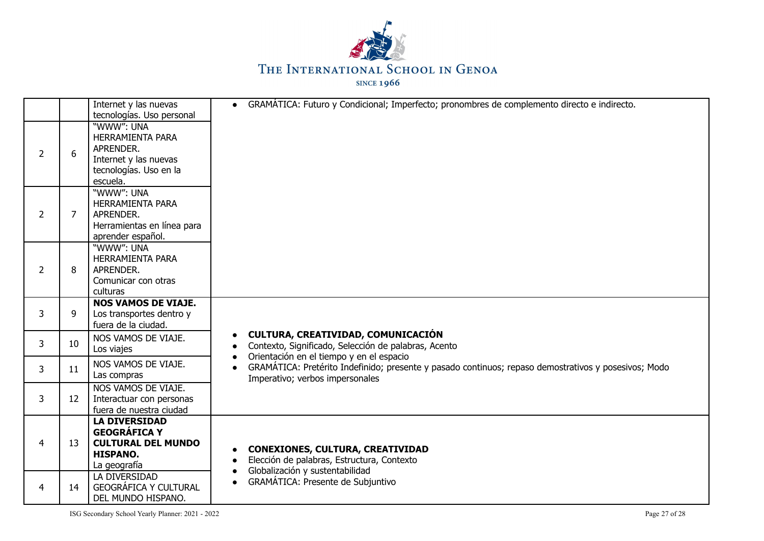

|                |    | Internet y las nuevas                                                                                             | GRAMÁTICA: Futuro y Condicional; Imperfecto; pronombres de complemento directo e indirecto.<br>$\bullet$                                            |
|----------------|----|-------------------------------------------------------------------------------------------------------------------|-----------------------------------------------------------------------------------------------------------------------------------------------------|
|                |    | tecnologías. Uso personal                                                                                         |                                                                                                                                                     |
| $\overline{2}$ | 6  | "WWW": UNA<br><b>HERRAMIENTA PARA</b><br>APRENDER.<br>Internet y las nuevas<br>tecnologías. Uso en la<br>escuela. |                                                                                                                                                     |
| $\overline{2}$ | 7  | "WWW": UNA<br><b>HERRAMIENTA PARA</b><br>APRENDER.<br>Herramientas en línea para<br>aprender español.             |                                                                                                                                                     |
| $\overline{2}$ | 8  | "WWW": UNA<br>HERRAMIENTA PARA<br>APRENDER.<br>Comunicar con otras<br>culturas                                    |                                                                                                                                                     |
| 3              | 9  | <b>NOS VAMOS DE VIAJE.</b><br>Los transportes dentro y<br>fuera de la ciudad.                                     |                                                                                                                                                     |
| 3              | 10 | NOS VAMOS DE VIAJE.<br>Los viajes                                                                                 | CULTURA, CREATIVIDAD, COMUNICACIÓN<br>$\bullet$<br>Contexto, Significado, Selección de palabras, Acento<br>Orientación en el tiempo y en el espacio |
| 3              | 11 | NOS VAMOS DE VIAJE.<br>Las compras                                                                                | GRAMÁTICA: Pretérito Indefinido; presente y pasado continuos; repaso demostrativos y posesivos; Modo<br>Imperativo; verbos impersonales             |
| 3              | 12 | NOS VAMOS DE VIAJE.<br>Interactuar con personas<br>fuera de nuestra ciudad                                        |                                                                                                                                                     |
| 4              | 13 | <b>LA DIVERSIDAD</b><br><b>GEOGRÁFICA Y</b><br><b>CULTURAL DEL MUNDO</b><br><b>HISPANO.</b><br>La geografía       | <b>CONEXIONES, CULTURA, CREATIVIDAD</b><br>Elección de palabras, Estructura, Contexto<br>Globalización y sustentabilidad<br>$\bullet$               |
| 4              | 14 | LA DIVERSIDAD<br><b>GEOGRÁFICA Y CULTURAL</b><br>DEL MUNDO HISPANO.                                               | <b>GRAMÁTICA: Presente de Subjuntivo</b><br>$\bullet$                                                                                               |